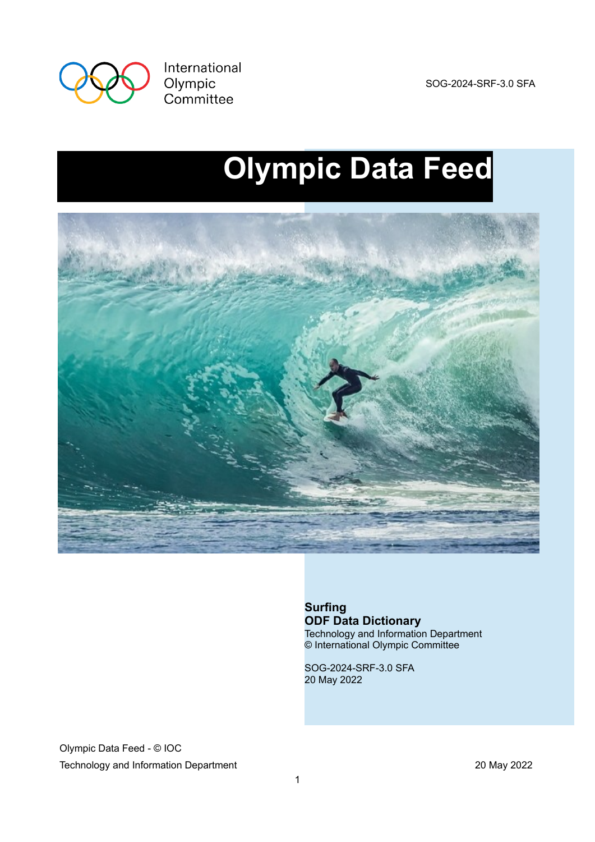

# **Olympic Data Feed**



**Surfing ODF Data Dictionary** Technology and Information Department © International Olympic Committee

SOG-2024-SRF-3.0 SFA

20 May 2022

Olympic Data Feed - © IOC Technology and Information Department 20 May 2022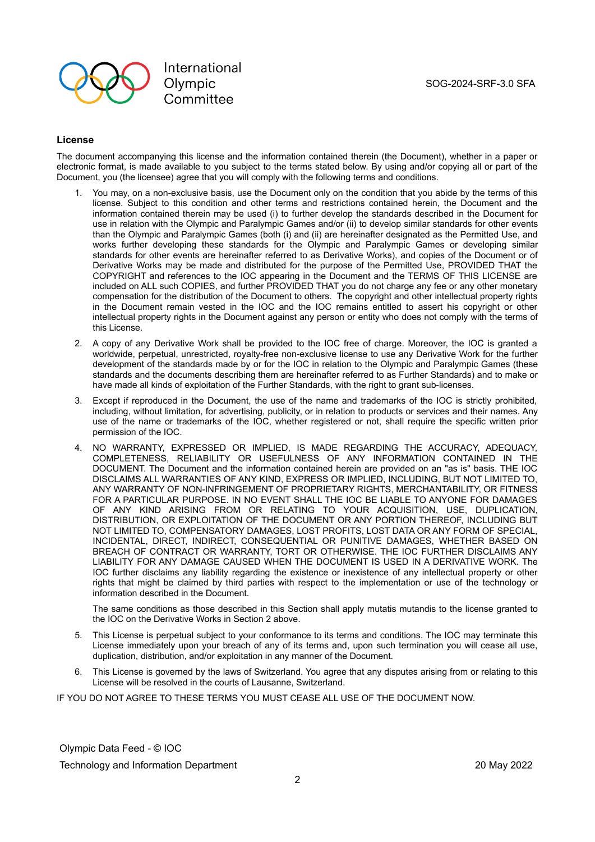

#### **License**

The document accompanying this license and the information contained therein (the Document), whether in a paper or electronic format, is made available to you subject to the terms stated below. By using and/or copying all or part of the Document, you (the licensee) agree that you will comply with the following terms and conditions.

- 1. You may, on a non-exclusive basis, use the Document only on the condition that you abide by the terms of this license. Subject to this condition and other terms and restrictions contained herein, the Document and the information contained therein may be used (i) to further develop the standards described in the Document for use in relation with the Olympic and Paralympic Games and/or (ii) to develop similar standards for other events than the Olympic and Paralympic Games (both (i) and (ii) are hereinafter designated as the Permitted Use, and works further developing these standards for the Olympic and Paralympic Games or developing similar standards for other events are hereinafter referred to as Derivative Works), and copies of the Document or of Derivative Works may be made and distributed for the purpose of the Permitted Use, PROVIDED THAT the COPYRIGHT and references to the IOC appearing in the Document and the TERMS OF THIS LICENSE are included on ALL such COPIES, and further PROVIDED THAT you do not charge any fee or any other monetary compensation for the distribution of the Document to others. The copyright and other intellectual property rights in the Document remain vested in the IOC and the IOC remains entitled to assert his copyright or other intellectual property rights in the Document against any person or entity who does not comply with the terms of this License.
- 2. A copy of any Derivative Work shall be provided to the IOC free of charge. Moreover, the IOC is granted a worldwide, perpetual, unrestricted, royalty-free non-exclusive license to use any Derivative Work for the further development of the standards made by or for the IOC in relation to the Olympic and Paralympic Games (these standards and the documents describing them are hereinafter referred to as Further Standards) and to make or have made all kinds of exploitation of the Further Standards, with the right to grant sub-licenses.
- 3. Except if reproduced in the Document, the use of the name and trademarks of the IOC is strictly prohibited, including, without limitation, for advertising, publicity, or in relation to products or services and their names. Any use of the name or trademarks of the IOC, whether registered or not, shall require the specific written prior permission of the IOC.
- 4. NO WARRANTY, EXPRESSED OR IMPLIED, IS MADE REGARDING THE ACCURACY, ADEQUACY, COMPLETENESS, RELIABILITY OR USEFULNESS OF ANY INFORMATION CONTAINED IN THE DOCUMENT. The Document and the information contained herein are provided on an "as is" basis. THE IOC DISCLAIMS ALL WARRANTIES OF ANY KIND, EXPRESS OR IMPLIED, INCLUDING, BUT NOT LIMITED TO, ANY WARRANTY OF NON-INFRINGEMENT OF PROPRIETARY RIGHTS, MERCHANTABILITY, OR FITNESS FOR A PARTICULAR PURPOSE. IN NO EVENT SHALL THE IOC BE LIABLE TO ANYONE FOR DAMAGES OF ANY KIND ARISING FROM OR RELATING TO YOUR ACQUISITION, USE, DUPLICATION, DISTRIBUTION, OR EXPLOITATION OF THE DOCUMENT OR ANY PORTION THEREOF, INCLUDING BUT NOT LIMITED TO, COMPENSATORY DAMAGES, LOST PROFITS, LOST DATA OR ANY FORM OF SPECIAL, INCIDENTAL, DIRECT, INDIRECT, CONSEQUENTIAL OR PUNITIVE DAMAGES, WHETHER BASED ON BREACH OF CONTRACT OR WARRANTY, TORT OR OTHERWISE. THE IOC FURTHER DISCLAIMS ANY LIABILITY FOR ANY DAMAGE CAUSED WHEN THE DOCUMENT IS USED IN A DERIVATIVE WORK. The IOC further disclaims any liability regarding the existence or inexistence of any intellectual property or other rights that might be claimed by third parties with respect to the implementation or use of the technology or information described in the Document.

The same conditions as those described in this Section shall apply mutatis mutandis to the license granted to the IOC on the Derivative Works in Section 2 above.

- 5. This License is perpetual subject to your conformance to its terms and conditions. The IOC may terminate this License immediately upon your breach of any of its terms and, upon such termination you will cease all use, duplication, distribution, and/or exploitation in any manner of the Document.
- 6. This License is governed by the laws of Switzerland. You agree that any disputes arising from or relating to this License will be resolved in the courts of Lausanne, Switzerland.

IF YOU DO NOT AGREE TO THESE TERMS YOU MUST CEASE ALL USE OF THE DOCUMENT NOW.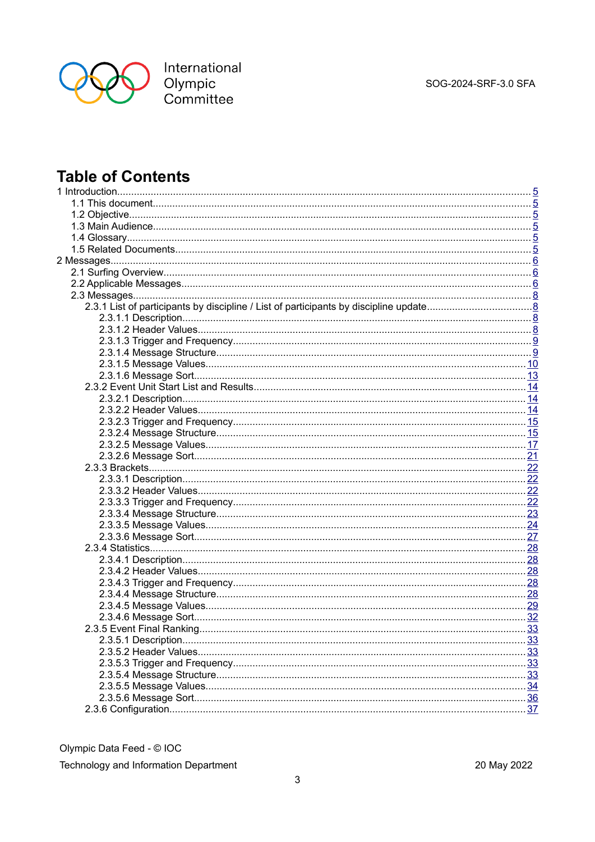

# **Table of Contents**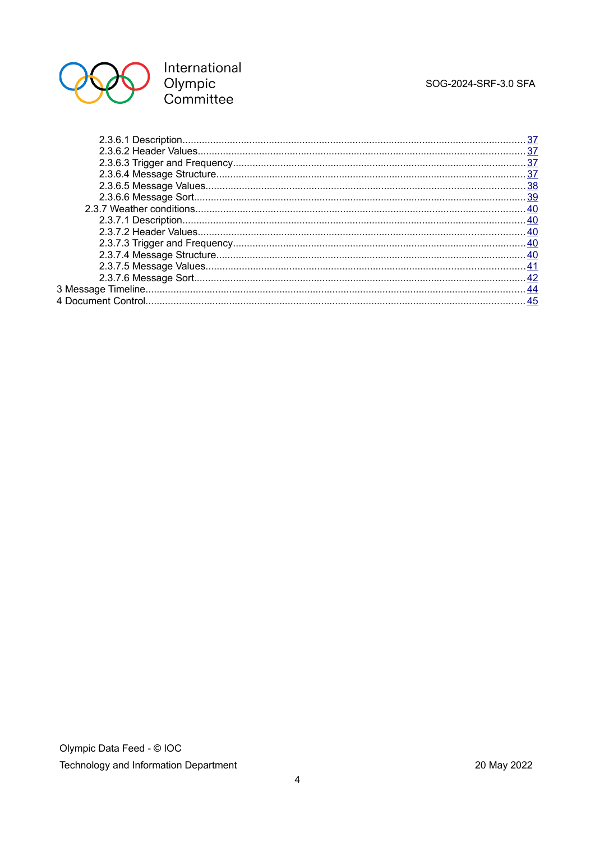

International<br>Olympic<br>Committee

#### SOG-2024-SRF-3.0 SFA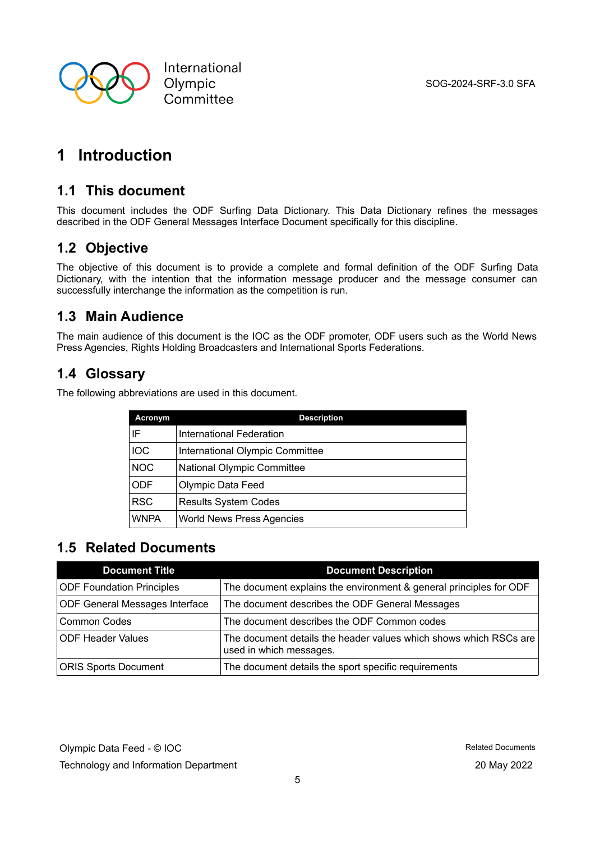SOG-2024-SRF-3.0 SFA



# <span id="page-4-5"></span>**1 Introduction**

# <span id="page-4-4"></span>**1.1 This document**

This document includes the ODF Surfing Data Dictionary. This Data Dictionary refines the messages described in the ODF General Messages Interface Document specifically for this discipline.

# <span id="page-4-3"></span>**1.2 Objective**

The objective of this document is to provide a complete and formal definition of the ODF Surfing Data Dictionary, with the intention that the information message producer and the message consumer can successfully interchange the information as the competition is run.

# <span id="page-4-2"></span>**1.3 Main Audience**

The main audience of this document is the IOC as the ODF promoter, ODF users such as the World News Press Agencies, Rights Holding Broadcasters and International Sports Federations.

# <span id="page-4-1"></span>**1.4 Glossary**

The following abbreviations are used in this document.

| Acronym     | <b>Description</b>                |  |  |  |
|-------------|-----------------------------------|--|--|--|
| IF          | International Federation          |  |  |  |
| <b>IOC</b>  | International Olympic Committee   |  |  |  |
| <b>NOC</b>  | <b>National Olympic Committee</b> |  |  |  |
| ODE         | Olympic Data Feed                 |  |  |  |
| <b>RSC</b>  | <b>Results System Codes</b>       |  |  |  |
| <b>WNPA</b> | <b>World News Press Agencies</b>  |  |  |  |

# <span id="page-4-0"></span>**1.5 Related Documents**

| <b>Document Title</b>                 | <b>Document Description</b>                                                                  |
|---------------------------------------|----------------------------------------------------------------------------------------------|
| <b>ODF Foundation Principles</b>      | The document explains the environment & general principles for ODF                           |
| <b>ODF General Messages Interface</b> | The document describes the ODF General Messages                                              |
| <b>Common Codes</b>                   | The document describes the ODF Common codes                                                  |
| <b>ODF Header Values</b>              | The document details the header values which shows which RSCs are<br>used in which messages. |
| <b>ORIS Sports Document</b>           | The document details the sport specific requirements                                         |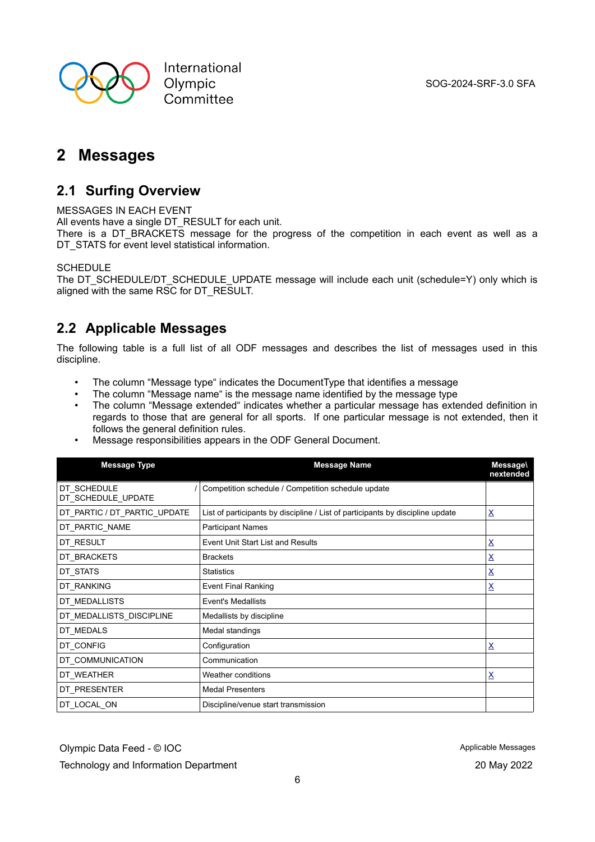

# <span id="page-5-2"></span>**2 Messages**

# <span id="page-5-1"></span>**2.1 Surfing Overview**

MESSAGES IN EACH EVENT

All events have a single DT\_RESULT for each unit.

There is a DT\_BRACKETS message for the progress of the competition in each event as well as a DT\_STATS for event level statistical information.

**SCHEDULE** 

The DT\_SCHEDULE/DT\_SCHEDULE\_UPDATE message will include each unit (schedule=Y) only which is aligned with the same RSC for DT\_RESULT.

# <span id="page-5-0"></span>**2.2 Applicable Messages**

The following table is a full list of all ODF messages and describes the list of messages used in this discipline.

- The column "Message type" indicates the DocumentType that identifies a message
- The column "Message name" is the message name identified by the message type
- The column "Message extended" indicates whether a particular message has extended definition in regards to those that are general for all sports. If one particular message is not extended, then it follows the general definition rules.
- Message responsibilities appears in the ODF General Document.

| <b>Message Type</b>               | <b>Message Name</b>                                                            | Message\<br>nextended    |
|-----------------------------------|--------------------------------------------------------------------------------|--------------------------|
| DT SCHEDULE<br>DT SCHEDULE UPDATE | Competition schedule / Competition schedule update                             |                          |
| DT PARTIC / DT PARTIC UPDATE      | List of participants by discipline / List of participants by discipline update | $\underline{\mathsf{X}}$ |
| DT_PARTIC_NAME                    | <b>Participant Names</b>                                                       |                          |
| DT RESULT                         | Event Unit Start List and Results                                              | $\underline{\mathsf{X}}$ |
| DT BRACKETS                       | <b>Brackets</b>                                                                | X                        |
| DT STATS                          | <b>Statistics</b>                                                              | $\overline{\mathsf{X}}$  |
| DT RANKING                        | <b>Event Final Ranking</b>                                                     | $\underline{\mathsf{X}}$ |
| DT_MEDALLISTS                     | <b>Event's Medallists</b>                                                      |                          |
| DT MEDALLISTS DISCIPLINE          | Medallists by discipline                                                       |                          |
| DT_MEDALS                         | Medal standings                                                                |                          |
| DT CONFIG                         | Configuration                                                                  | $\overline{\mathsf{X}}$  |
| DT COMMUNICATION                  | Communication                                                                  |                          |
| DT_WEATHER                        | Weather conditions                                                             | $\underline{X}$          |
| DT PRESENTER                      | <b>Medal Presenters</b>                                                        |                          |
| DT LOCAL ON                       | Discipline/venue start transmission                                            |                          |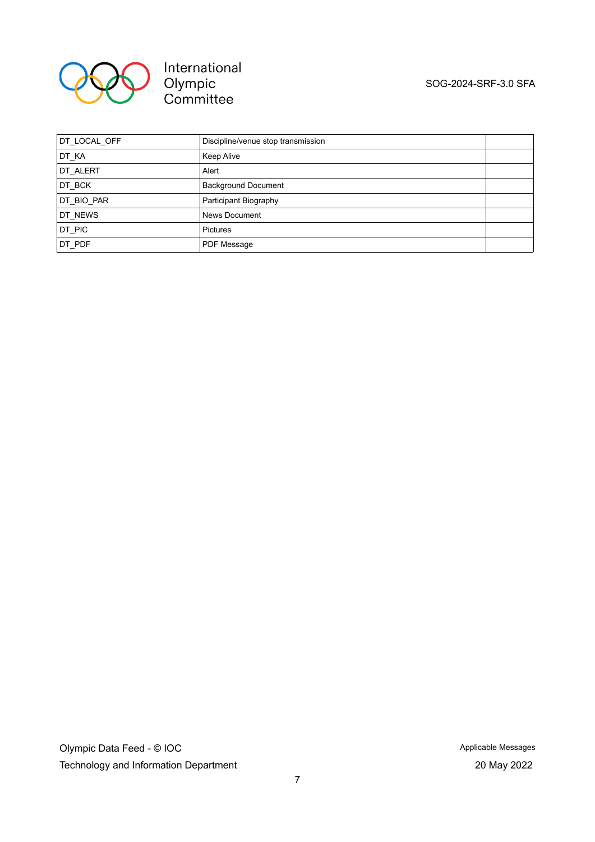

# SOG-2024-SRF-3.0 SFA

| DT LOCAL OFF | Discipline/venue stop transmission |  |
|--------------|------------------------------------|--|
| DT_KA        | <b>Keep Alive</b>                  |  |
| DT ALERT     | Alert                              |  |
| DT BCK       | <b>Background Document</b>         |  |
| DT_BIO_PAR   | Participant Biography              |  |
| DT_NEWS      | News Document                      |  |
| DT_PIC       | <b>Pictures</b>                    |  |
| DT PDF       | PDF Message                        |  |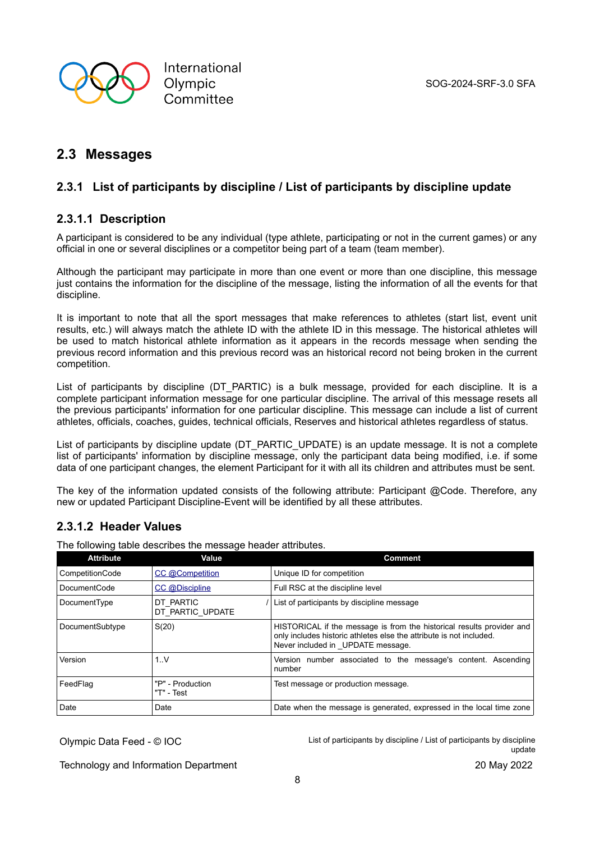

# <span id="page-7-3"></span>**2.3 Messages**

# <span id="page-7-2"></span>**2.3.1 List of participants by discipline / List of participants by discipline update**

# <span id="page-7-1"></span>**2.3.1.1 Description**

A participant is considered to be any individual (type athlete, participating or not in the current games) or any official in one or several disciplines or a competitor being part of a team (team member).

Although the participant may participate in more than one event or more than one discipline, this message just contains the information for the discipline of the message, listing the information of all the events for that discipline.

It is important to note that all the sport messages that make references to athletes (start list, event unit results, etc.) will always match the athlete ID with the athlete ID in this message. The historical athletes will be used to match historical athlete information as it appears in the records message when sending the previous record information and this previous record was an historical record not being broken in the current competition.

List of participants by discipline (DT\_PARTIC) is a bulk message, provided for each discipline. It is a complete participant information message for one particular discipline. The arrival of this message resets all the previous participants' information for one particular discipline. This message can include a list of current athletes, officials, coaches, guides, technical officials, Reserves and historical athletes regardless of status.

List of participants by discipline update (DT\_PARTIC\_UPDATE) is an update message. It is not a complete list of participants' information by discipline message, only the participant data being modified, i.e. if some data of one participant changes, the element Participant for it with all its children and attributes must be sent.

The key of the information updated consists of the following attribute: Participant @Code. Therefore, any new or updated Participant Discipline-Event will be identified by all these attributes.

# <span id="page-7-0"></span>**2.3.1.2 Header Values**

The following table describes the message header attributes.

| <b>Attribute</b> | Value                          | <b>Comment</b>                                                                                                                                                                    |
|------------------|--------------------------------|-----------------------------------------------------------------------------------------------------------------------------------------------------------------------------------|
| CompetitionCode  | CC @Competition                | Unique ID for competition                                                                                                                                                         |
| DocumentCode     | CC @Discipline                 | Full RSC at the discipline level                                                                                                                                                  |
| DocumentType     | DT PARTIC<br>DT PARTIC UPDATE  | List of participants by discipline message                                                                                                                                        |
| DocumentSubtype  | S(20)                          | HISTORICAL if the message is from the historical results provider and<br>only includes historic athletes else the attribute is not included.<br>Never included in UPDATE message. |
| Version          | 1.1V                           | Version number associated to the message's content. Ascending<br>number                                                                                                           |
| FeedFlag         | "P" - Production<br>"T" - Test | Test message or production message.                                                                                                                                               |
| Date             | Date                           | Date when the message is generated, expressed in the local time zone                                                                                                              |

Olympic Data Feed - © IOC List of participants by discipline / List of participants by discipline update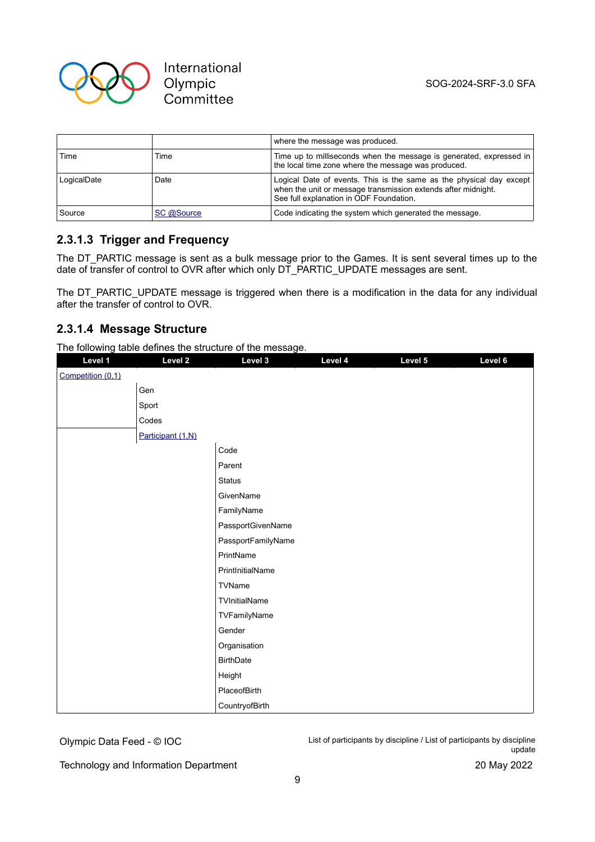

|             |            | where the message was produced.                                                                                                                                                 |
|-------------|------------|---------------------------------------------------------------------------------------------------------------------------------------------------------------------------------|
| Time        | Time       | Time up to milliseconds when the message is generated, expressed in<br>the local time zone where the message was produced.                                                      |
| LogicalDate | Date       | Logical Date of events. This is the same as the physical day except<br>when the unit or message transmission extends after midnight.<br>See full explanation in ODF Foundation. |
| Source      | SC @Source | Code indicating the system which generated the message.                                                                                                                         |

# <span id="page-8-1"></span>**2.3.1.3 Trigger and Frequency**

The DT\_PARTIC message is sent as a bulk message prior to the Games. It is sent several times up to the date of transfer of control to OVR after which only DT\_PARTIC\_UPDATE messages are sent.

The DT\_PARTIC\_UPDATE message is triggered when there is a modification in the data for any individual after the transfer of control to OVR.

# <span id="page-8-0"></span>**2.3.1.4 Message Structure**

The following table defines the structure of the message.

| Level 1           | Level 2           | Level 3            | Level 4 | Level 5 | Level 6 |
|-------------------|-------------------|--------------------|---------|---------|---------|
| Competition (0,1) |                   |                    |         |         |         |
|                   | Gen               |                    |         |         |         |
|                   | Sport             |                    |         |         |         |
|                   | Codes             |                    |         |         |         |
|                   | Participant (1,N) |                    |         |         |         |
|                   |                   | Code               |         |         |         |
|                   |                   | Parent             |         |         |         |
|                   |                   | Status             |         |         |         |
|                   |                   | GivenName          |         |         |         |
|                   |                   | FamilyName         |         |         |         |
|                   |                   | PassportGivenName  |         |         |         |
|                   |                   | PassportFamilyName |         |         |         |
|                   |                   | PrintName          |         |         |         |
|                   |                   | PrintlnitialName   |         |         |         |
|                   |                   | TVName             |         |         |         |
|                   |                   | TVInitialName      |         |         |         |
|                   |                   | TVFamilyName       |         |         |         |
|                   |                   | Gender             |         |         |         |
|                   |                   | Organisation       |         |         |         |
|                   |                   | <b>BirthDate</b>   |         |         |         |
|                   |                   | Height             |         |         |         |
|                   |                   | PlaceofBirth       |         |         |         |
|                   |                   | CountryofBirth     |         |         |         |

Olympic Data Feed - © IOC **List of participants by discipline** / List of participants by discipline update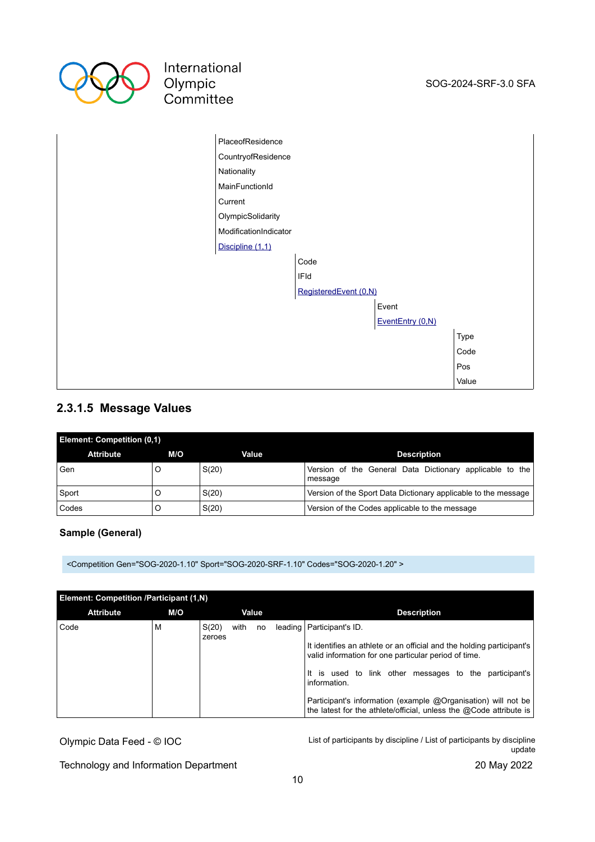

| PlaceofResidence      |                       |                  |       |
|-----------------------|-----------------------|------------------|-------|
| CountryofResidence    |                       |                  |       |
| Nationality           |                       |                  |       |
| MainFunctionId        |                       |                  |       |
| Current               |                       |                  |       |
| OlympicSolidarity     |                       |                  |       |
| ModificationIndicator |                       |                  |       |
| Discipline (1,1)      |                       |                  |       |
|                       | Code                  |                  |       |
|                       | IFId                  |                  |       |
|                       | RegisteredEvent (0,N) |                  |       |
|                       |                       | Event            |       |
|                       |                       | EventEntry (0,N) |       |
|                       |                       |                  | Type  |
|                       |                       |                  | Code  |
|                       |                       |                  | Pos   |
|                       |                       |                  | Value |

# <span id="page-9-0"></span>**2.3.1.5 Message Values**

<span id="page-9-2"></span>

| <b>Element: Competition (0,1)</b> |     |       |                                                                     |  |
|-----------------------------------|-----|-------|---------------------------------------------------------------------|--|
| <b>Attribute</b>                  | M/O | Value | <b>Description</b>                                                  |  |
| Gen                               |     | S(20) | Version of the General Data Dictionary applicable to the<br>message |  |
| Sport                             |     | S(20) | Version of the Sport Data Dictionary applicable to the message      |  |
| Codes                             |     | S(20) | Version of the Codes applicable to the message                      |  |

#### **Sample (General)**

<Competition Gen="SOG-2020-1.10" Sport="SOG-2020-SRF-1.10" Codes="SOG-2020-1.20" >

<span id="page-9-1"></span>

| <b>Element: Competition /Participant (1,N)</b> |     |                         |    |         |                                                                                                                                                                                                                                                                                                                                                                     |
|------------------------------------------------|-----|-------------------------|----|---------|---------------------------------------------------------------------------------------------------------------------------------------------------------------------------------------------------------------------------------------------------------------------------------------------------------------------------------------------------------------------|
| <b>Attribute</b>                               | M/O | Value                   |    |         | <b>Description</b>                                                                                                                                                                                                                                                                                                                                                  |
| Code                                           | M   | S(20)<br>with<br>zeroes | no | leading | Participant's ID.<br>It identifies an athlete or an official and the holding participant's<br>valid information for one particular period of time.<br>It is used to link other messages to the participant's<br>information.<br>Participant's information (example @Organisation) will not be<br>the latest for the athlete/official, unless the @Code attribute is |

Olympic Data Feed - © IOC List of participants by discipline / List of participants by discipline update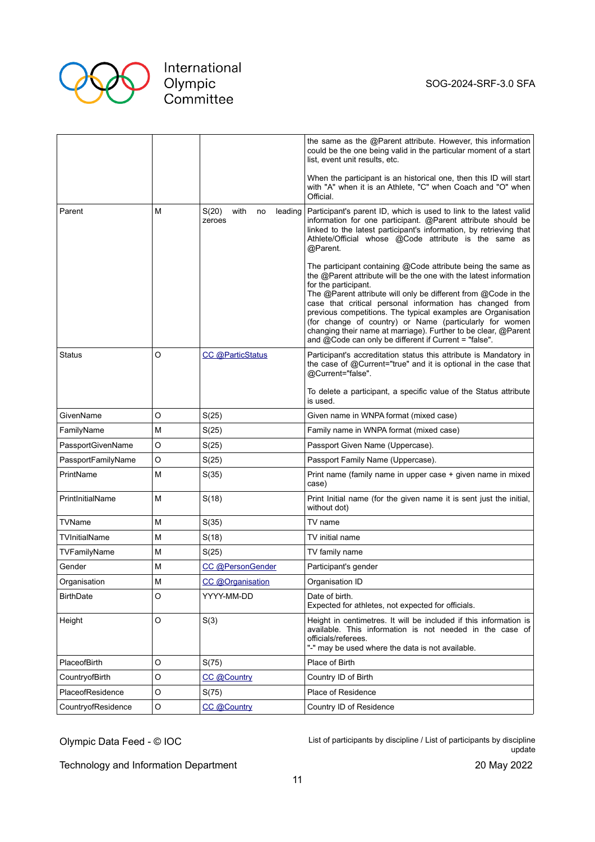

### SOG-2024-SRF-3.0 SFA

|                    |   |                                          | the same as the @Parent attribute. However, this information<br>could be the one being valid in the particular moment of a start<br>list, event unit results, etc.                                                                                                                                                                                                                                                                                                                                                                            |
|--------------------|---|------------------------------------------|-----------------------------------------------------------------------------------------------------------------------------------------------------------------------------------------------------------------------------------------------------------------------------------------------------------------------------------------------------------------------------------------------------------------------------------------------------------------------------------------------------------------------------------------------|
|                    |   |                                          | When the participant is an historical one, then this ID will start<br>with "A" when it is an Athlete, "C" when Coach and "O" when<br>Official.                                                                                                                                                                                                                                                                                                                                                                                                |
| Parent             | М | S(20)<br>with<br>leading<br>no<br>zeroes | Participant's parent ID, which is used to link to the latest valid<br>information for one participant. @Parent attribute should be<br>linked to the latest participant's information, by retrieving that<br>Athlete/Official whose @Code attribute is the same as<br>@Parent.                                                                                                                                                                                                                                                                 |
|                    |   |                                          | The participant containing @Code attribute being the same as<br>the @Parent attribute will be the one with the latest information<br>for the participant.<br>The @Parent attribute will only be different from @Code in the<br>case that critical personal information has changed from<br>previous competitions. The typical examples are Organisation<br>(for change of country) or Name (particularly for women<br>changing their name at marriage). Further to be clear, @Parent<br>and @Code can only be different if Current = "false". |
| <b>Status</b>      | O | CC @ParticStatus                         | Participant's accreditation status this attribute is Mandatory in<br>the case of @Current="true" and it is optional in the case that<br>@Current="false".                                                                                                                                                                                                                                                                                                                                                                                     |
|                    |   |                                          | To delete a participant, a specific value of the Status attribute<br>is used.                                                                                                                                                                                                                                                                                                                                                                                                                                                                 |
| GivenName          | O | S(25)                                    | Given name in WNPA format (mixed case)                                                                                                                                                                                                                                                                                                                                                                                                                                                                                                        |
| FamilyName         | М | S(25)                                    | Family name in WNPA format (mixed case)                                                                                                                                                                                                                                                                                                                                                                                                                                                                                                       |
| PassportGivenName  | O | S(25)                                    | Passport Given Name (Uppercase).                                                                                                                                                                                                                                                                                                                                                                                                                                                                                                              |
| PassportFamilyName | O | S(25)                                    | Passport Family Name (Uppercase).                                                                                                                                                                                                                                                                                                                                                                                                                                                                                                             |
| PrintName          | М | S(35)                                    | Print name (family name in upper case + given name in mixed<br>case)                                                                                                                                                                                                                                                                                                                                                                                                                                                                          |
| PrintlnitialName   | м | S(18)                                    | Print Initial name (for the given name it is sent just the initial,<br>without dot)                                                                                                                                                                                                                                                                                                                                                                                                                                                           |
| TVName             | М | S(35)                                    | TV name                                                                                                                                                                                                                                                                                                                                                                                                                                                                                                                                       |
| TVInitialName      | М | S(18)                                    | TV initial name                                                                                                                                                                                                                                                                                                                                                                                                                                                                                                                               |
| TVFamilyName       | М | S(25)                                    | TV family name                                                                                                                                                                                                                                                                                                                                                                                                                                                                                                                                |
| Gender             | М | CC @PersonGender                         | Participant's gender                                                                                                                                                                                                                                                                                                                                                                                                                                                                                                                          |
| Organisation       | М | CC @Organisation                         | Organisation ID                                                                                                                                                                                                                                                                                                                                                                                                                                                                                                                               |
| <b>BirthDate</b>   | O | YYYY-MM-DD                               | Date of birth.<br>Expected for athletes, not expected for officials.                                                                                                                                                                                                                                                                                                                                                                                                                                                                          |
| Height             | O | S(3)                                     | Height in centimetres. It will be included if this information is<br>available. This information is not needed in the case of<br>officials/referees.<br>"-" may be used where the data is not available.                                                                                                                                                                                                                                                                                                                                      |
| PlaceofBirth       | O | S(75)                                    | Place of Birth                                                                                                                                                                                                                                                                                                                                                                                                                                                                                                                                |
| CountryofBirth     | O | CC @Country                              | Country ID of Birth                                                                                                                                                                                                                                                                                                                                                                                                                                                                                                                           |
| PlaceofResidence   | O | S(75)                                    | Place of Residence                                                                                                                                                                                                                                                                                                                                                                                                                                                                                                                            |
| CountryofResidence | O | CC @Country                              | Country ID of Residence                                                                                                                                                                                                                                                                                                                                                                                                                                                                                                                       |

Olympic Data Feed - © IOC List of participants by discipline / List of participants by discipline update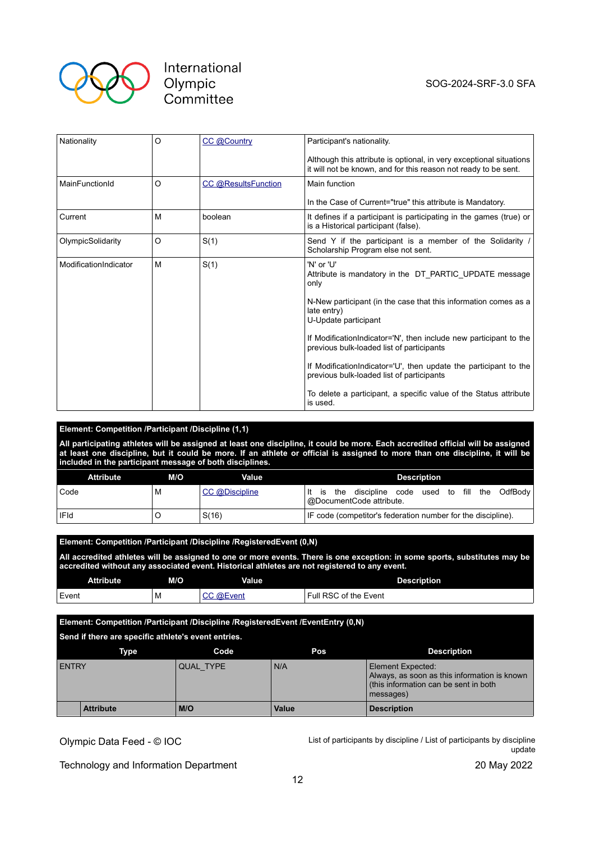

#### SOG-2024-SRF-3.0 SFA

| Nationality           | O | CC @Country         | Participant's nationality.                                                                                                             |
|-----------------------|---|---------------------|----------------------------------------------------------------------------------------------------------------------------------------|
|                       |   |                     | Although this attribute is optional, in very exceptional situations<br>it will not be known, and for this reason not ready to be sent. |
| MainFunctionId        | O | CC @ResultsFunction | Main function                                                                                                                          |
|                       |   |                     | In the Case of Current="true" this attribute is Mandatory.                                                                             |
| Current               | м | boolean             | It defines if a participant is participating in the games (true) or<br>is a Historical participant (false).                            |
| OlympicSolidarity     | O | S(1)                | Send Y if the participant is a member of the Solidarity /<br>Scholarship Program else not sent.                                        |
| ModificationIndicator | м | S(1)                | 'N' or 'U'<br>Attribute is mandatory in the DT PARTIC UPDATE message<br>only                                                           |
|                       |   |                     | N-New participant (in the case that this information comes as a<br>late entry)<br>U-Update participant                                 |
|                       |   |                     | If Modification Indicator='N', then include new participant to the<br>previous bulk-loaded list of participants                        |
|                       |   |                     | If Modification Indicator='U', then update the participant to the<br>previous bulk-loaded list of participants                         |
|                       |   |                     | To delete a participant, a specific value of the Status attribute<br>is used.                                                          |

#### <span id="page-11-2"></span>**Element: Competition /Participant /Discipline (1,1)**

**All participating athletes will be assigned at least one discipline, it could be more. Each accredited official will be assigned at least one discipline, but it could be more. If an athlete or official is assigned to more than one discipline, it will be included in the participant message of both disciplines.**

| Attribute | M/O | Value          | Description                                                                    |
|-----------|-----|----------------|--------------------------------------------------------------------------------|
| Code      | м   | CC @Discipline | It is the discipline code used to fill the OdfBody<br>@DocumentCode attribute. |
| IFId      |     | S(16)          | IF code (competitor's federation number for the discipline).                   |

#### <span id="page-11-1"></span>**Element: Competition /Participant /Discipline /RegisteredEvent (0,N)**

**All accredited athletes will be assigned to one or more events. There is one exception: in some sports, substitutes may be accredited without any associated event. Historical athletes are not registered to any event.**

| <b>Attribute</b> | M/O | <b>Value</b> | <b>Description</b>        |
|------------------|-----|--------------|---------------------------|
| Event            | M   | @Even        | Full RSC<br>∶of the Event |

<span id="page-11-0"></span>**Element: Competition /Participant /Discipline /RegisteredEvent /EventEntry (0,N)**

**Send if there are specific athlete's event entries.**

|               | <b>Type</b>      | Code      | Pos          | <b>Description</b>                                                                                                      |
|---------------|------------------|-----------|--------------|-------------------------------------------------------------------------------------------------------------------------|
| <b>LENTRY</b> |                  | QUAL TYPE | N/A          | Element Expected:<br>Always, as soon as this information is known<br>(this information can be sent in both<br>messages) |
|               | <b>Attribute</b> | M/O       | <b>Value</b> | <b>Description</b>                                                                                                      |

Olympic Data Feed - © IOC List of participants by discipline / List of participants by discipline update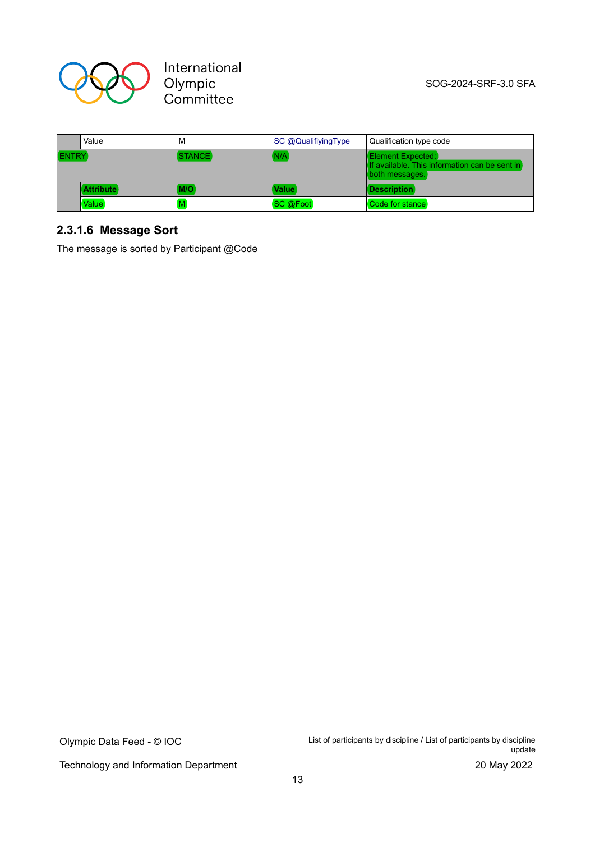

|              | Value            | M             | SC @QualifiyingType | Qualification type code                                                              |
|--------------|------------------|---------------|---------------------|--------------------------------------------------------------------------------------|
| <b>ENTRY</b> |                  | <b>STANCE</b> | N/A                 | Element Expected:<br>If available. This information can be sent in<br>both messages. |
|              | <b>Attribute</b> | M/O           | <b>Value</b>        | <b>Description</b>                                                                   |
|              | Value            |               | <b>SC</b> @Foot     | Code for stance                                                                      |

# <span id="page-12-0"></span>**2.3.1.6 Message Sort**

The message is sorted by Participant @Code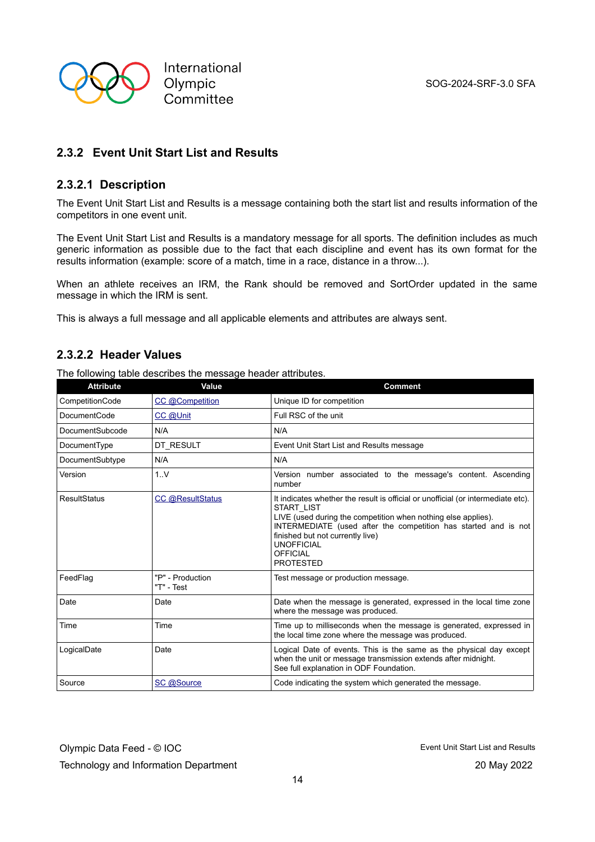

# <span id="page-13-2"></span>**2.3.2 Event Unit Start List and Results**

# <span id="page-13-1"></span>**2.3.2.1 Description**

The Event Unit Start List and Results is a message containing both the start list and results information of the competitors in one event unit.

The Event Unit Start List and Results is a mandatory message for all sports. The definition includes as much generic information as possible due to the fact that each discipline and event has its own format for the results information (example: score of a match, time in a race, distance in a throw...).

When an athlete receives an IRM, the Rank should be removed and SortOrder updated in the same message in which the IRM is sent.

This is always a full message and all applicable elements and attributes are always sent.

# <span id="page-13-0"></span>**2.3.2.2 Header Values**

The following table describes the message header attributes.

| <b>Attribute</b>       | Value                          | <b>Comment</b>                                                                                                                                                                                                                                                                                                                            |
|------------------------|--------------------------------|-------------------------------------------------------------------------------------------------------------------------------------------------------------------------------------------------------------------------------------------------------------------------------------------------------------------------------------------|
| CompetitionCode        | CC @Competition                | Unique ID for competition                                                                                                                                                                                                                                                                                                                 |
| DocumentCode           | CC @Unit                       | Full RSC of the unit                                                                                                                                                                                                                                                                                                                      |
| <b>DocumentSubcode</b> | N/A                            | N/A                                                                                                                                                                                                                                                                                                                                       |
| DocumentType           | DT_RESULT                      | Event Unit Start List and Results message                                                                                                                                                                                                                                                                                                 |
| DocumentSubtype        | N/A                            | N/A                                                                                                                                                                                                                                                                                                                                       |
| Version                | 1.1V                           | Version number associated to the message's content. Ascending<br>number                                                                                                                                                                                                                                                                   |
| <b>ResultStatus</b>    | CC @ResultStatus               | It indicates whether the result is official or unofficial (or intermediate etc).<br><b>START LIST</b><br>LIVE (used during the competition when nothing else applies).<br>INTERMEDIATE (used after the competition has started and is not<br>finished but not currently live)<br><b>UNOFFICIAL</b><br><b>OFFICIAL</b><br><b>PROTESTED</b> |
| FeedFlag               | "P" - Production<br>"T" - Test | Test message or production message.                                                                                                                                                                                                                                                                                                       |
| Date                   | Date                           | Date when the message is generated, expressed in the local time zone<br>where the message was produced.                                                                                                                                                                                                                                   |
| Time                   | Time                           | Time up to milliseconds when the message is generated, expressed in<br>the local time zone where the message was produced.                                                                                                                                                                                                                |
| LogicalDate            | Date                           | Logical Date of events. This is the same as the physical day except<br>when the unit or message transmission extends after midnight.<br>See full explanation in ODF Foundation.                                                                                                                                                           |
| Source                 | SC @Source                     | Code indicating the system which generated the message.                                                                                                                                                                                                                                                                                   |

14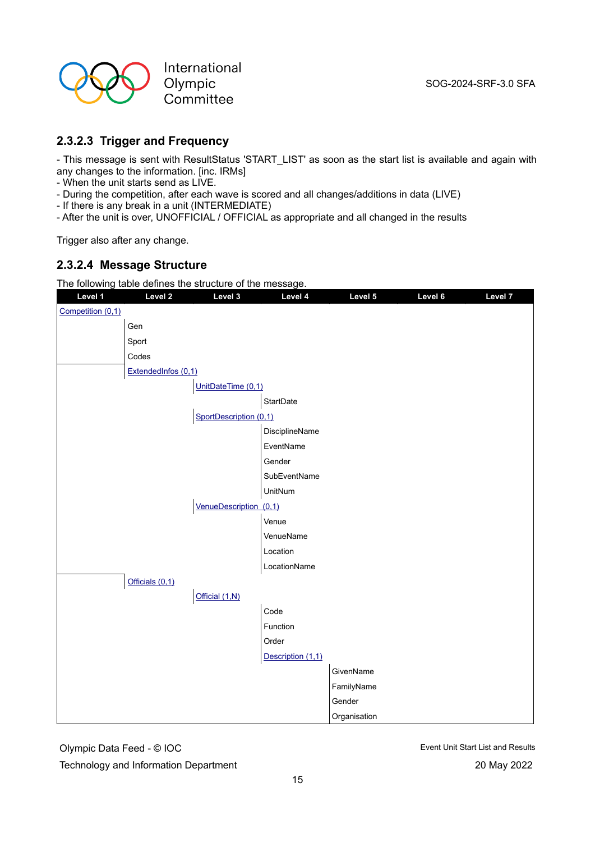

# <span id="page-14-1"></span>**2.3.2.3 Trigger and Frequency**

- This message is sent with ResultStatus 'START\_LIST' as soon as the start list is available and again with any changes to the information. [inc. IRMs]

- When the unit starts send as LIVE.
- During the competition, after each wave is scored and all changes/additions in data (LIVE)
- If there is any break in a unit (INTERMEDIATE)
- After the unit is over, UNOFFICIAL / OFFICIAL as appropriate and all changed in the results

Trigger also after any change.

# <span id="page-14-0"></span>**2.3.2.4 Message Structure**

The following table defines the structure of the message.

| Level 1           | Level 2             | Level 3                | Level 4           | Level 5      | Level 6 | Level 7 |
|-------------------|---------------------|------------------------|-------------------|--------------|---------|---------|
| Competition (0,1) |                     |                        |                   |              |         |         |
|                   | Gen                 |                        |                   |              |         |         |
|                   | Sport               |                        |                   |              |         |         |
|                   | Codes               |                        |                   |              |         |         |
|                   | ExtendedInfos (0,1) |                        |                   |              |         |         |
|                   |                     | UnitDateTime (0,1)     |                   |              |         |         |
|                   |                     |                        | StartDate         |              |         |         |
|                   |                     | SportDescription (0,1) |                   |              |         |         |
|                   |                     |                        | DisciplineName    |              |         |         |
|                   |                     |                        | EventName         |              |         |         |
|                   |                     |                        | Gender            |              |         |         |
|                   |                     |                        | SubEventName      |              |         |         |
|                   |                     |                        | UnitNum           |              |         |         |
|                   |                     | VenueDescription (0,1) |                   |              |         |         |
|                   |                     |                        | Venue             |              |         |         |
|                   |                     |                        | VenueName         |              |         |         |
|                   |                     |                        | Location          |              |         |         |
|                   |                     |                        | LocationName      |              |         |         |
|                   | Officials (0,1)     |                        |                   |              |         |         |
|                   |                     | Official (1,N)         |                   |              |         |         |
|                   |                     |                        | Code              |              |         |         |
|                   |                     |                        | Function          |              |         |         |
|                   |                     |                        | Order             |              |         |         |
|                   |                     |                        | Description (1,1) |              |         |         |
|                   |                     |                        |                   | GivenName    |         |         |
|                   |                     |                        |                   | FamilyName   |         |         |
|                   |                     |                        |                   | Gender       |         |         |
|                   |                     |                        |                   | Organisation |         |         |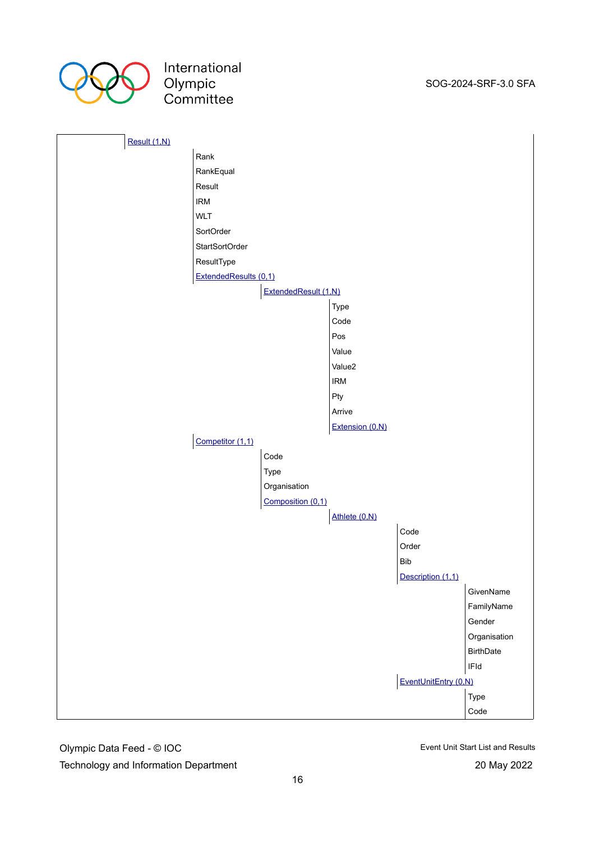

SOG-2024-SRF-3.0 SFA



Olympic Data Feed - © IOC **Example 2018** Event Unit Start List and Results Technology and Information Department 20 May 2022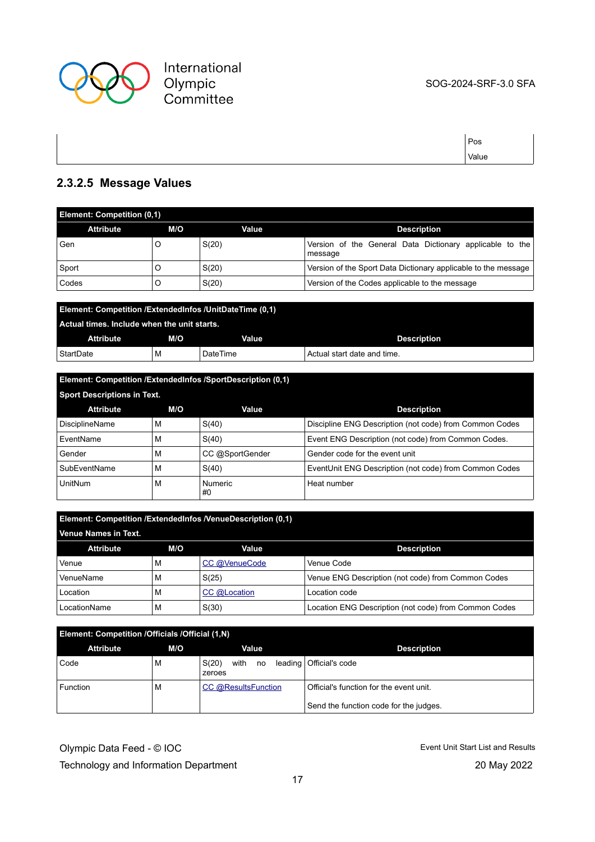

| Pos   |  |
|-------|--|
| Value |  |

# <span id="page-16-0"></span>**2.3.2.5 Message Values**

<span id="page-16-5"></span>

| <b>Element: Competition (0,1)</b> |     |       |                                                                     |  |  |
|-----------------------------------|-----|-------|---------------------------------------------------------------------|--|--|
| <b>Attribute</b>                  | M/O | Value | <b>Description</b>                                                  |  |  |
| Gen                               | O   | S(20) | Version of the General Data Dictionary applicable to the<br>message |  |  |
| Sport                             |     | S(20) | Version of the Sport Data Dictionary applicable to the message      |  |  |
| Codes                             |     | S(20) | Version of the Codes applicable to the message                      |  |  |

<span id="page-16-4"></span>

| <b>Element: Competition /ExtendedInfos /UnitDateTime (0.1)</b> |     |                 |                             |  |  |
|----------------------------------------------------------------|-----|-----------------|-----------------------------|--|--|
| Actual times. Include when the unit starts.                    |     |                 |                             |  |  |
| <b>Attribute</b>                                               | M/O | Value           | <b>Description</b>          |  |  |
| StartDate                                                      | м   | <b>DateTime</b> | Actual start date and time. |  |  |

#### <span id="page-16-3"></span>**Element: Competition /ExtendedInfos /SportDescription (0,1)**

| <b>Sport Descriptions in Text.</b> |     |                 |                                                         |  |  |
|------------------------------------|-----|-----------------|---------------------------------------------------------|--|--|
| <b>Attribute</b>                   | M/O | Value           | <b>Description</b>                                      |  |  |
| DisciplineName                     | М   | S(40)           | Discipline ENG Description (not code) from Common Codes |  |  |
| EventName                          | м   | S(40)           | Event ENG Description (not code) from Common Codes.     |  |  |
| Gender                             | м   | CC @SportGender | Gender code for the event unit                          |  |  |
| SubEventName                       | м   | S(40)           | EventUnit ENG Description (not code) from Common Codes  |  |  |
| <b>UnitNum</b>                     | м   | Numeric<br>#0   | Heat number                                             |  |  |

<span id="page-16-2"></span>

| <b>Element: Competition /ExtendedInfos /VenueDescription (0,1)</b> |  |
|--------------------------------------------------------------------|--|
|                                                                    |  |

| Venue Names in Text. |     |               |                                                       |  |
|----------------------|-----|---------------|-------------------------------------------------------|--|
| <b>Attribute</b>     | M/O | Value         | <b>Description</b>                                    |  |
| Venue                | м   | CC @VenueCode | Venue Code                                            |  |
| VenueName            | м   | S(25)         | Venue ENG Description (not code) from Common Codes    |  |
| Location             | м   | CC @Location  | Location code                                         |  |
| LocationName         | м   | S(30)         | Location ENG Description (not code) from Common Codes |  |

<span id="page-16-1"></span>

| Element: Competition / Officials / Official (1,N) |     |                               |                                         |  |  |
|---------------------------------------------------|-----|-------------------------------|-----------------------------------------|--|--|
| <b>Attribute</b>                                  | M/O | Value                         | <b>Description</b>                      |  |  |
| Code                                              | м   | S(20)<br>with<br>no<br>zeroes | leading   Official's code               |  |  |
| <b>Function</b>                                   | м   | CC @ResultsFunction           | Official's function for the event unit. |  |  |
|                                                   |     |                               | Send the function code for the judges.  |  |  |

Olympic Data Feed - © IOC **Example 2018** Event Unit Start List and Results Technology and Information Department 20 May 2022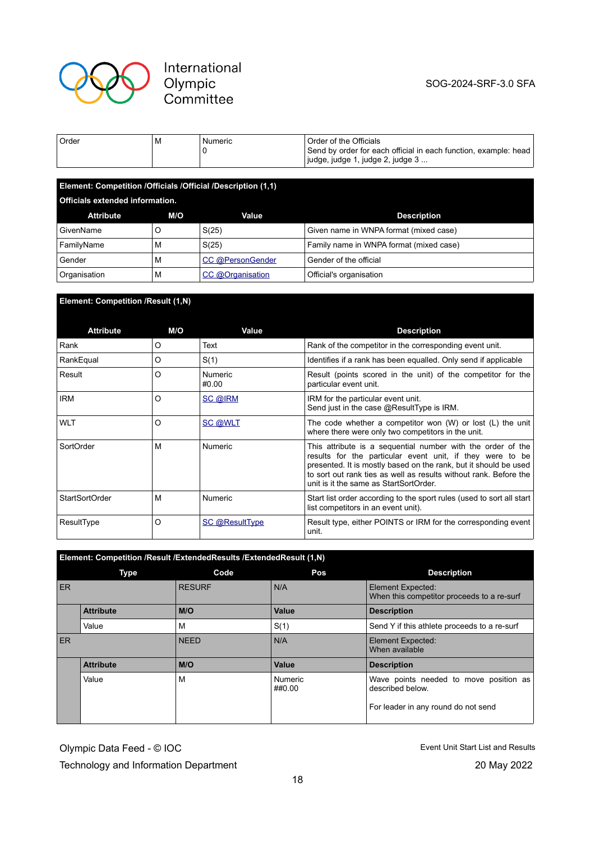

#### SOG-2024-SRF-3.0 SFA

| Order | ΙVΙ | Numeric | Order of the Officials<br>Send by order for each official in each function, example: head |
|-------|-----|---------|-------------------------------------------------------------------------------------------|
|       |     |         | judge, judge 1, judge 2, judge 3                                                          |

#### <span id="page-17-0"></span>**Element: Competition /Officials /Official /Description (1,1)**

| Officials extended information. |     |                  |                                         |  |
|---------------------------------|-----|------------------|-----------------------------------------|--|
| <b>Attribute</b>                | M/O | Value            | <b>Description</b>                      |  |
| GivenName                       |     | S(25)            | Given name in WNPA format (mixed case)  |  |
| FamilyName                      | м   | S(25)            | Family name in WNPA format (mixed case) |  |
| Gender                          | м   | CC @PersonGender | Gender of the official                  |  |
| Organisation                    | М   | CC @Organisation | Official's organisation                 |  |

#### <span id="page-17-2"></span>**Element: Competition /Result (1,N)**

| <b>Attribute</b>      | M/O      | Value                   | <b>Description</b>                                                                                                                                                                                                                                                                                          |
|-----------------------|----------|-------------------------|-------------------------------------------------------------------------------------------------------------------------------------------------------------------------------------------------------------------------------------------------------------------------------------------------------------|
| Rank                  | O        | Text                    | Rank of the competitor in the corresponding event unit.                                                                                                                                                                                                                                                     |
| RankEqual             | O        | S(1)                    | Identifies if a rank has been equalled. Only send if applicable                                                                                                                                                                                                                                             |
| Result                | $\Omega$ | <b>Numeric</b><br>#0.00 | Result (points scored in the unit) of the competitor for the<br>particular event unit.                                                                                                                                                                                                                      |
| <b>IRM</b>            | O        | SC @IRM                 | IRM for the particular event unit.<br>Send just in the case @ResultType is IRM.                                                                                                                                                                                                                             |
| <b>WLT</b>            | O        | SC @WLT                 | The code whether a competitor won $(W)$ or lost $(L)$ the unit<br>where there were only two competitors in the unit.                                                                                                                                                                                        |
| SortOrder             | м        | <b>Numeric</b>          | This attribute is a sequential number with the order of the<br>results for the particular event unit, if they were to be<br>presented. It is mostly based on the rank, but it should be used<br>to sort out rank ties as well as results without rank. Before the<br>unit is it the same as StartSortOrder. |
| <b>StartSortOrder</b> | м        | Numeric                 | Start list order according to the sport rules (used to sort all start<br>list competitors in an event unit).                                                                                                                                                                                                |
| ResultType            | O        | <b>SC @ResultType</b>   | Result type, either POINTS or IRM for the corresponding event<br>unit.                                                                                                                                                                                                                                      |

<span id="page-17-1"></span>

| Element: Competition /Result /ExtendedResults /ExtendedResult (1,N) |                  |               |                          |                                                                                                   |  |  |
|---------------------------------------------------------------------|------------------|---------------|--------------------------|---------------------------------------------------------------------------------------------------|--|--|
|                                                                     | <b>Type</b>      | Code          | Pos                      | <b>Description</b>                                                                                |  |  |
| <b>ER</b>                                                           |                  | <b>RESURF</b> | N/A                      | <b>Element Expected:</b><br>When this competitor proceeds to a re-surf                            |  |  |
|                                                                     | <b>Attribute</b> | M/O           | Value                    | <b>Description</b>                                                                                |  |  |
|                                                                     | Value            | м             | S(1)                     | Send Y if this athlete proceeds to a re-surf                                                      |  |  |
| <b>ER</b>                                                           |                  | <b>NEED</b>   | N/A                      | Element Expected:<br>When available                                                               |  |  |
|                                                                     | <b>Attribute</b> | M/O           | <b>Value</b>             | <b>Description</b>                                                                                |  |  |
|                                                                     | Value            | м             | <b>Numeric</b><br>##0.00 | Wave points needed to move position as<br>described below.<br>For leader in any round do not send |  |  |

Olympic Data Feed - © IOC **Event Unit Start List and Results**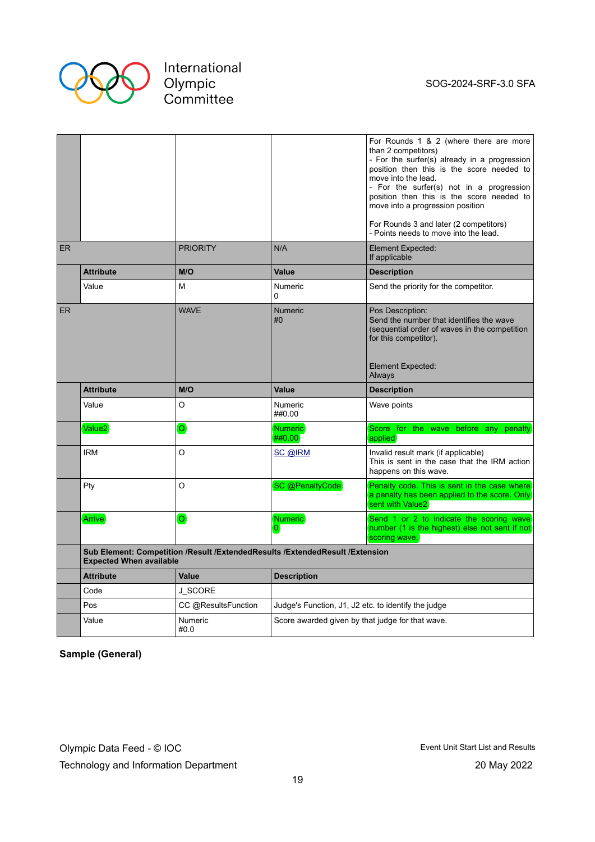

|           |                                |                     |                                                                              | For Rounds 1 & 2 (where there are more<br>than 2 competitors)<br>- For the surfer(s) already in a progression<br>position then this is the score needed to<br>move into the lead.<br>- For the surfer(s) not in a progression<br>position then this is the score needed to<br>move into a progression position<br>For Rounds 3 and later (2 competitors)<br>- Points needs to move into the lead. |
|-----------|--------------------------------|---------------------|------------------------------------------------------------------------------|---------------------------------------------------------------------------------------------------------------------------------------------------------------------------------------------------------------------------------------------------------------------------------------------------------------------------------------------------------------------------------------------------|
| <b>ER</b> |                                | <b>PRIORITY</b>     | N/A                                                                          | <b>Element Expected:</b><br>If applicable                                                                                                                                                                                                                                                                                                                                                         |
|           | <b>Attribute</b>               | M/O                 | Value                                                                        | <b>Description</b>                                                                                                                                                                                                                                                                                                                                                                                |
|           | Value                          | M                   | Numeric<br>0                                                                 | Send the priority for the competitor.                                                                                                                                                                                                                                                                                                                                                             |
| <b>ER</b> |                                | <b>WAVE</b>         | <b>Numeric</b><br>#0                                                         | Pos Description:<br>Send the number that identifies the wave<br>(sequential order of waves in the competition<br>for this competitor).<br>Element Expected:<br>Always                                                                                                                                                                                                                             |
|           | <b>Attribute</b>               | M/O                 | <b>Value</b>                                                                 | <b>Description</b>                                                                                                                                                                                                                                                                                                                                                                                |
|           |                                |                     |                                                                              |                                                                                                                                                                                                                                                                                                                                                                                                   |
|           | Value                          | O                   | <b>Numeric</b><br>##0.00                                                     | Wave points                                                                                                                                                                                                                                                                                                                                                                                       |
|           | Value <sub>2</sub>             | $\overline{O}$      | <b>Numeric</b><br>##0.00                                                     | Score for the wave before any penalty<br>applied)                                                                                                                                                                                                                                                                                                                                                 |
|           | <b>IRM</b>                     | O                   | SC @IRM                                                                      | Invalid result mark (if applicable)<br>This is sent in the case that the IRM action<br>happens on this wave.                                                                                                                                                                                                                                                                                      |
|           | Pty                            | O                   | SC @PenaltyCode                                                              | Penalty code. This is sent in the case where<br>a penalty has been applied to the score. Only<br>sent with Value2                                                                                                                                                                                                                                                                                 |
|           | <b>Arrive</b>                  | $\overline{O}$      | <b>Numeric</b><br>$\Omega$                                                   | Send 1 or 2 to indicate the scoring wave<br>number (1 is the highest) else not sent if not<br>scoring wave.                                                                                                                                                                                                                                                                                       |
|           | <b>Expected When available</b> |                     | Sub Element: Competition /Result /ExtendedResults /ExtendedResult /Extension |                                                                                                                                                                                                                                                                                                                                                                                                   |
|           | <b>Attribute</b>               | Value               | <b>Description</b>                                                           |                                                                                                                                                                                                                                                                                                                                                                                                   |
|           | Code                           | J SCORE             |                                                                              |                                                                                                                                                                                                                                                                                                                                                                                                   |
|           | Pos                            | CC @ResultsFunction | Judge's Function, J1, J2 etc. to identify the judge                          |                                                                                                                                                                                                                                                                                                                                                                                                   |

 **Sample (General)**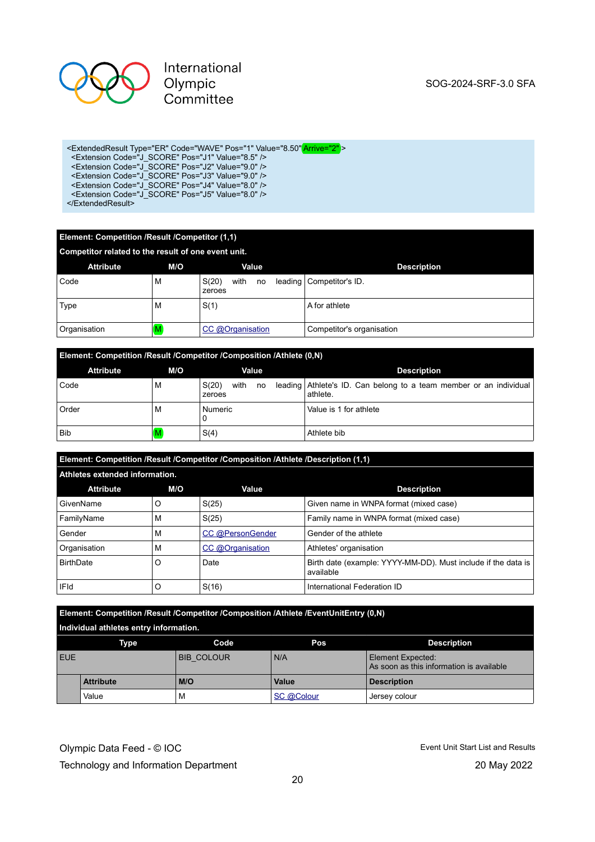

<ExtendedResult Type="ER" Code="WAVE" Pos="1" Value="8.50" Arrive="2" > <Extension Code="J\_SCORE" Pos="J1" Value="8.5" /> <Extension Code="J\_SCORE" Pos="J2" Value="9.0" /> <Extension Code="J\_SCORE" Pos="J3" Value="9.0" /> <Extension Code="J\_SCORE" Pos="J4" Value="8.0" /> <Extension Code="J\_SCORE" Pos="J5" Value="8.0" /> </ExtendedResult>

# <span id="page-19-3"></span>**Element: Competition /Result /Competitor (1,1)**

| Competitor related to the result of one event unit. |     |                               |                            |  |  |
|-----------------------------------------------------|-----|-------------------------------|----------------------------|--|--|
| <b>Attribute</b>                                    | M/O | Value                         | <b>Description</b>         |  |  |
| Code                                                | M   | S(20)<br>with<br>no<br>zeroes | leading   Competitor's ID. |  |  |
| Type                                                | M   | S(1)                          | A for athlete              |  |  |
| Organisation                                        |     | CC @Organisation              | Competitor's organisation  |  |  |

<span id="page-19-2"></span>

| <b>Element: Competition /Result /Competitor /Composition /Athlete (0.N)</b> |     |                               |                                                                                |  |
|-----------------------------------------------------------------------------|-----|-------------------------------|--------------------------------------------------------------------------------|--|
| <b>Attribute</b>                                                            | M/O | Value                         | <b>Description</b>                                                             |  |
| Code                                                                        | M   | S(20)<br>with<br>no<br>zeroes | leading Athlete's ID. Can belong to a team member or an individual<br>athlete. |  |
| Order                                                                       | М   | <b>Numeric</b><br>0           | Value is 1 for athlete                                                         |  |
| <b>Bib</b>                                                                  |     | S(4)                          | Athlete bib                                                                    |  |

#### <span id="page-19-1"></span>**Element: Competition /Result /Competitor /Composition /Athlete /Description (1,1)**

| Athletes extended information. |     |                  |                                                                            |  |  |
|--------------------------------|-----|------------------|----------------------------------------------------------------------------|--|--|
| <b>Attribute</b>               | M/O | Value            | <b>Description</b>                                                         |  |  |
| GivenName                      | O   | S(25)            | Given name in WNPA format (mixed case)                                     |  |  |
| FamilyName                     | М   | S(25)            | Family name in WNPA format (mixed case)                                    |  |  |
| Gender                         | м   | CC @PersonGender | Gender of the athlete                                                      |  |  |
| Organisation                   | м   | CC @Organisation | Athletes' organisation                                                     |  |  |
| <b>BirthDate</b>               | O   | Date             | Birth date (example: YYYY-MM-DD). Must include if the data is<br>available |  |  |
| IFId                           | O   | S(16)            | International Federation ID                                                |  |  |

#### <span id="page-19-0"></span>**Element: Competition /Result /Competitor /Composition /Athlete /EventUnitEntry (0,N) Individual athletes entry information.**

|            | <b>Type</b>      | Code              | Pos          | <b>Description</b>                                                   |
|------------|------------------|-------------------|--------------|----------------------------------------------------------------------|
| <b>EUE</b> |                  | <b>BIB COLOUR</b> | N/A          | <b>Element Expected:</b><br>As soon as this information is available |
|            | <b>Attribute</b> | M/O               | <b>Value</b> | <b>Description</b>                                                   |
|            | Value            | M                 | SC @Colour   | Jersey colour                                                        |

Olympic Data Feed - © IOC **Example 2018** Event Unit Start List and Results Technology and Information Department 20 May 2022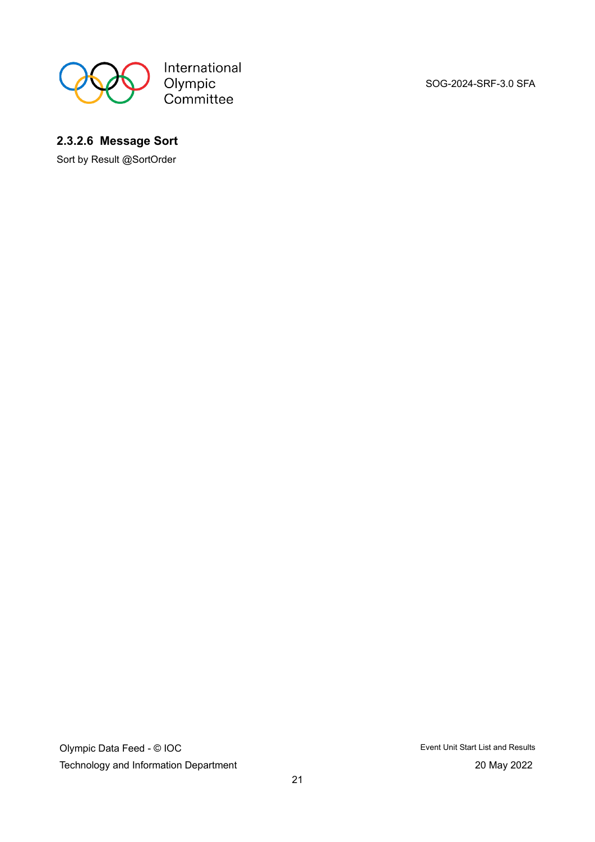

SOG-2024-SRF-3.0 SFA

# <span id="page-20-0"></span>**2.3.2.6 Message Sort**

Sort by Result @SortOrder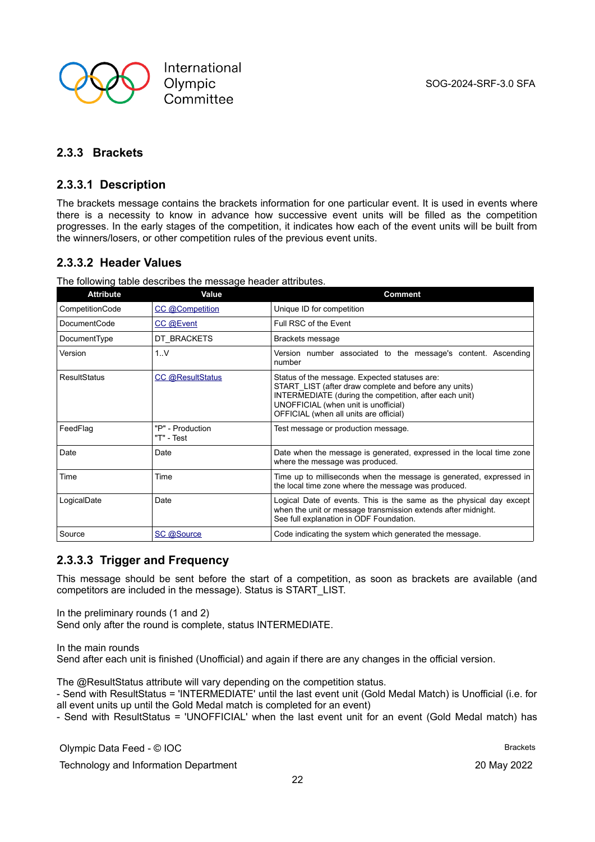# <span id="page-21-3"></span>**2.3.3 Brackets**

# <span id="page-21-2"></span>**2.3.3.1 Description**

The brackets message contains the brackets information for one particular event. It is used in events where there is a necessity to know in advance how successive event units will be filled as the competition progresses. In the early stages of the competition, it indicates how each of the event units will be built from the winners/losers, or other competition rules of the previous event units.

# <span id="page-21-1"></span>**2.3.3.2 Header Values**

The following table describes the message header attributes.

| <b>Attribute</b> | Value                          | <b>Comment</b>                                                                                                                                                                                                                                     |  |  |  |
|------------------|--------------------------------|----------------------------------------------------------------------------------------------------------------------------------------------------------------------------------------------------------------------------------------------------|--|--|--|
| CompetitionCode  | CC @Competition                | Unique ID for competition                                                                                                                                                                                                                          |  |  |  |
| DocumentCode     | CC @Event                      | Full RSC of the Event                                                                                                                                                                                                                              |  |  |  |
| DocumentType     | DT BRACKETS                    | Brackets message                                                                                                                                                                                                                                   |  |  |  |
| Version          | 1.1V                           | Version number associated to the message's content. Ascending<br>number                                                                                                                                                                            |  |  |  |
| ResultStatus     | CC @ResultStatus               | Status of the message. Expected statuses are:<br>START LIST (after draw complete and before any units)<br>INTERMEDIATE (during the competition, after each unit)<br>UNOFFICIAL (when unit is unofficial)<br>OFFICIAL (when all units are official) |  |  |  |
| FeedFlag         | "P" - Production<br>"T" - Test | Test message or production message.                                                                                                                                                                                                                |  |  |  |
| Date             | Date                           | Date when the message is generated, expressed in the local time zone<br>where the message was produced.                                                                                                                                            |  |  |  |
| Time             | Time                           | Time up to milliseconds when the message is generated, expressed in<br>the local time zone where the message was produced.                                                                                                                         |  |  |  |
| LogicalDate      | Date                           | Logical Date of events. This is the same as the physical day except<br>when the unit or message transmission extends after midnight.<br>See full explanation in ODF Foundation.                                                                    |  |  |  |
| Source           | SC @Source                     | Code indicating the system which generated the message.                                                                                                                                                                                            |  |  |  |

# <span id="page-21-0"></span>**2.3.3.3 Trigger and Frequency**

This message should be sent before the start of a competition, as soon as brackets are available (and competitors are included in the message). Status is START\_LIST.

In the preliminary rounds (1 and 2)

Send only after the round is complete, status INTERMEDIATE.

In the main rounds

Send after each unit is finished (Unofficial) and again if there are any changes in the official version.

The @ResultStatus attribute will vary depending on the competition status.

- Send with ResultStatus = 'INTERMEDIATE' until the last event unit (Gold Medal Match) is Unofficial (i.e. for all event units up until the Gold Medal match is completed for an event)

- Send with ResultStatus = 'UNOFFICIAL' when the last event unit for an event (Gold Medal match) has

Olympic Data Feed - © IOC Brackets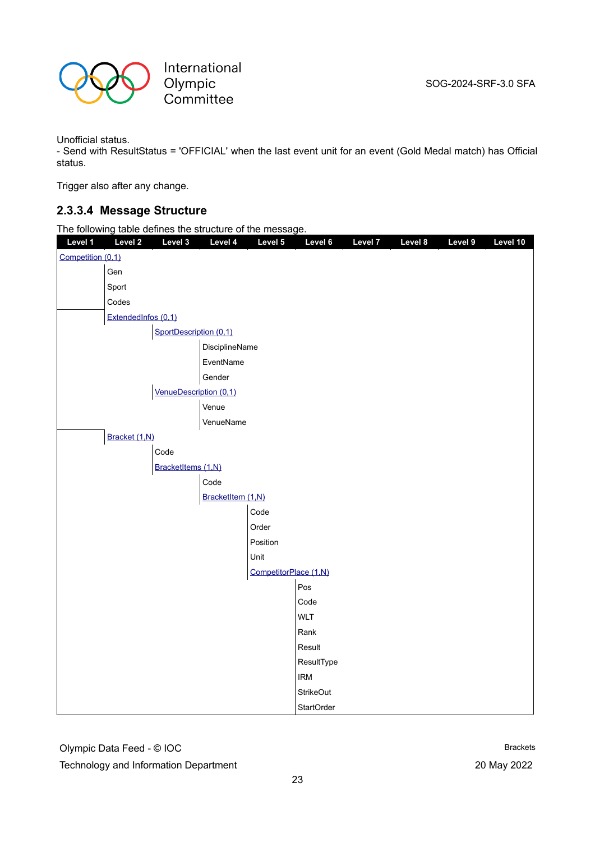

Unofficial status.

- Send with ResultStatus = 'OFFICIAL' when the last event unit for an event (Gold Medal match) has Official status.

Trigger also after any change.

# <span id="page-22-0"></span>**2.3.3.4 Message Structure**

The following table defines the structure of the message.

| Level 1           | Level 2             | Level 3                | Level 4           | Level 5               | Level 6    | Level 7 | Level 8 | Level 9 | Level 10 |
|-------------------|---------------------|------------------------|-------------------|-----------------------|------------|---------|---------|---------|----------|
| Competition (0,1) |                     |                        |                   |                       |            |         |         |         |          |
|                   | Gen                 |                        |                   |                       |            |         |         |         |          |
|                   | Sport               |                        |                   |                       |            |         |         |         |          |
|                   | Codes               |                        |                   |                       |            |         |         |         |          |
|                   | ExtendedInfos (0,1) |                        |                   |                       |            |         |         |         |          |
|                   |                     | SportDescription (0,1) |                   |                       |            |         |         |         |          |
|                   |                     |                        | DisciplineName    |                       |            |         |         |         |          |
|                   |                     |                        | EventName         |                       |            |         |         |         |          |
|                   |                     |                        | Gender            |                       |            |         |         |         |          |
|                   |                     | VenueDescription (0,1) |                   |                       |            |         |         |         |          |
|                   |                     |                        | Venue             |                       |            |         |         |         |          |
|                   |                     |                        | VenueName         |                       |            |         |         |         |          |
|                   | Bracket (1,N)       |                        |                   |                       |            |         |         |         |          |
|                   |                     | Code                   |                   |                       |            |         |         |         |          |
|                   |                     | BracketItems (1,N)     |                   |                       |            |         |         |         |          |
|                   |                     |                        | Code              |                       |            |         |         |         |          |
|                   |                     |                        | BracketItem (1,N) |                       |            |         |         |         |          |
|                   |                     |                        |                   | Code                  |            |         |         |         |          |
|                   |                     |                        |                   | Order                 |            |         |         |         |          |
|                   |                     |                        |                   | Position              |            |         |         |         |          |
|                   |                     |                        |                   | Unit                  |            |         |         |         |          |
|                   |                     |                        |                   | CompetitorPlace (1,N) |            |         |         |         |          |
|                   |                     |                        |                   |                       | Pos        |         |         |         |          |
|                   |                     |                        |                   |                       | Code       |         |         |         |          |
|                   |                     |                        |                   |                       | <b>WLT</b> |         |         |         |          |
|                   |                     |                        |                   |                       | Rank       |         |         |         |          |
|                   |                     |                        |                   |                       | Result     |         |         |         |          |
|                   |                     |                        |                   |                       | ResultType |         |         |         |          |
|                   |                     |                        |                   |                       | <b>IRM</b> |         |         |         |          |
|                   |                     |                        |                   |                       | StrikeOut  |         |         |         |          |
|                   |                     |                        |                   |                       | StartOrder |         |         |         |          |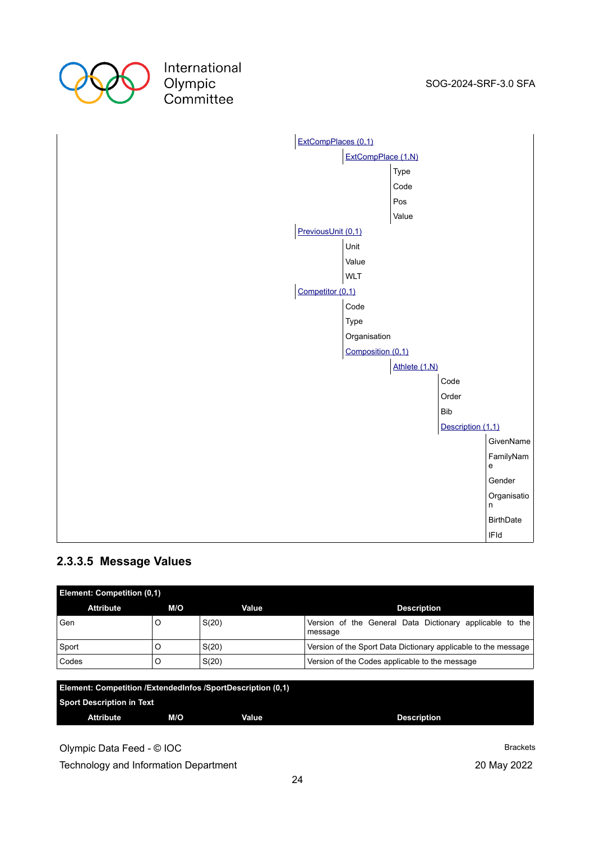



# <span id="page-23-0"></span>**2.3.3.5 Message Values**

<span id="page-23-2"></span>

| Element: Competition (0,1) |                                                             |       |                                                                     |  |  |  |
|----------------------------|-------------------------------------------------------------|-------|---------------------------------------------------------------------|--|--|--|
| <b>Attribute</b>           | M/O                                                         | Value | <b>Description</b>                                                  |  |  |  |
| Gen                        | O                                                           | S(20) | Version of the General Data Dictionary applicable to the<br>message |  |  |  |
| Sport                      |                                                             | S(20) | Version of the Sport Data Dictionary applicable to the message      |  |  |  |
| Codes                      |                                                             | S(20) | Version of the Codes applicable to the message                      |  |  |  |
|                            |                                                             |       |                                                                     |  |  |  |
|                            | Element: Competition /ExtendedInfos /SportDescription (0,1) |       |                                                                     |  |  |  |

<span id="page-23-1"></span>**Sport Description in Text**

| <b>OPULL DESCRIPTION IN TEAL</b> |     |       |                    |
|----------------------------------|-----|-------|--------------------|
| <b>Attribute</b>                 | M/O | Value | <b>Description</b> |
|                                  |     |       |                    |

Olympic Data Feed - © IOC Brackets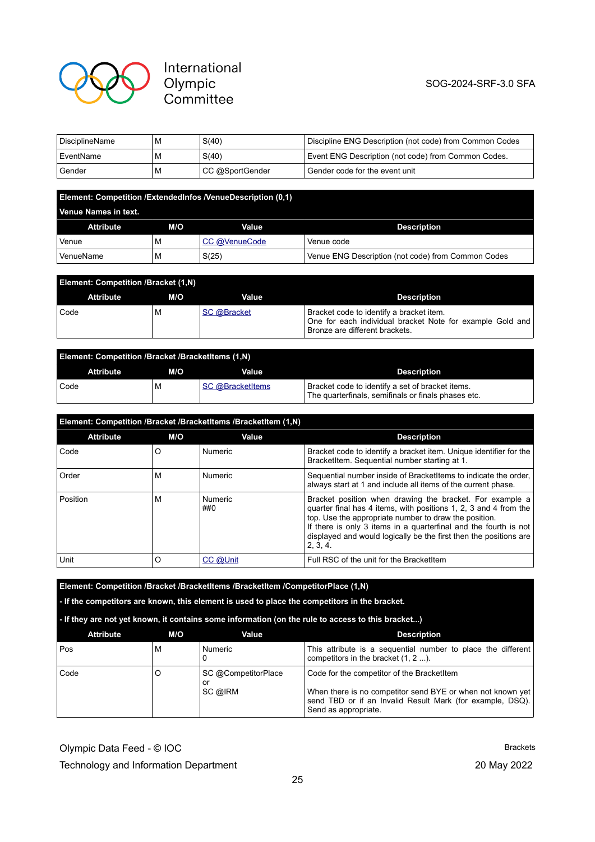

| <b>DisciplineName</b>  | М | S(40)           | Discipline ENG Description (not code) from Common Codes |
|------------------------|---|-----------------|---------------------------------------------------------|
| <sup>⊦</sup> EventName | м | S(40)           | Event ENG Description (not code) from Common Codes.     |
| Gender                 | M | CC @SportGender | Gender code for the event unit                          |

<span id="page-24-4"></span>

| <b>Element: Competition /ExtendedInfos /VenueDescription (0.1)</b> |     |               |                                                    |  |  |
|--------------------------------------------------------------------|-----|---------------|----------------------------------------------------|--|--|
| Venue Names in text.                                               |     |               |                                                    |  |  |
| <b>Attribute</b>                                                   | M/O | Value         | <b>Description</b>                                 |  |  |
| Venue                                                              | м   | CC @VenueCode | Venue code                                         |  |  |
| VenueName                                                          | м   | S(25)         | Venue ENG Description (not code) from Common Codes |  |  |

<span id="page-24-3"></span>

| <b>Element: Competition /Bracket (1,N)</b> |     |             |                                                                                                                                         |  |  |  |
|--------------------------------------------|-----|-------------|-----------------------------------------------------------------------------------------------------------------------------------------|--|--|--|
| <b>Attribute</b>                           | M/O | Value       | <b>Description</b>                                                                                                                      |  |  |  |
| Code                                       | м   | SC @Bracket | Bracket code to identify a bracket item.<br>One for each individual bracket Note for example Gold and<br>Bronze are different brackets. |  |  |  |

<span id="page-24-2"></span>

| <b>Element: Competition /Bracket /BracketItems (1,N)</b> |     |                  |                                                                                                         |  |  |  |
|----------------------------------------------------------|-----|------------------|---------------------------------------------------------------------------------------------------------|--|--|--|
| <b>Attribute</b>                                         | M/O | Value            | Description                                                                                             |  |  |  |
| Code                                                     | М   | SC @BracketItems | Bracket code to identify a set of bracket items.<br>The quarterfinals, semifinals or finals phases etc. |  |  |  |

<span id="page-24-1"></span>

| Element: Competition /Bracket /BracketItems /BracketItem (1,N) |     |                       |                                                                                                                                                                                                                                                                                                                                          |  |  |  |
|----------------------------------------------------------------|-----|-----------------------|------------------------------------------------------------------------------------------------------------------------------------------------------------------------------------------------------------------------------------------------------------------------------------------------------------------------------------------|--|--|--|
| <b>Attribute</b>                                               | M/O | Value                 | <b>Description</b>                                                                                                                                                                                                                                                                                                                       |  |  |  |
| Code                                                           | O   | <b>Numeric</b>        | Bracket code to identify a bracket item. Unique identifier for the<br>BracketItem. Sequential number starting at 1.                                                                                                                                                                                                                      |  |  |  |
| Order                                                          | м   | <b>Numeric</b>        | Sequential number inside of BracketItems to indicate the order.<br>always start at 1 and include all items of the current phase.                                                                                                                                                                                                         |  |  |  |
| Position                                                       | м   | <b>Numeric</b><br>##0 | Bracket position when drawing the bracket. For example a<br>quarter final has 4 items, with positions 1, 2, 3 and 4 from the<br>top. Use the appropriate number to draw the position.<br>If there is only 3 items in a quarterfinal and the fourth is not<br>displayed and would logically be the first then the positions are<br>2.3.4. |  |  |  |
| Unit                                                           | O   | CC @Unit              | Full RSC of the unit for the BracketItem                                                                                                                                                                                                                                                                                                 |  |  |  |

<span id="page-24-0"></span>**Element: Competition /Bracket /BracketItems /BracketItem /CompetitorPlace (1,N)**

**- If the competitors are known, this element is used to place the competitors in the bracket.**

**- If they are not yet known, it contains some information (on the rule to access to this bracket...)**

| <b>Attribute</b> | M/O | Value                                | <b>Description</b>                                                                                                                                                                            |
|------------------|-----|--------------------------------------|-----------------------------------------------------------------------------------------------------------------------------------------------------------------------------------------------|
| Pos              | м   | Numeric<br>0                         | This attribute is a sequential number to place the different<br>competitors in the bracket $(1, 2)$ .                                                                                         |
| Code             |     | SC @CompetitorPlace<br>or<br>SC @IRM | Code for the competitor of the BracketItem<br>When there is no competitor send BYE or when not known yet<br>send TBD or if an Invalid Result Mark (for example, DSQ).<br>Send as appropriate. |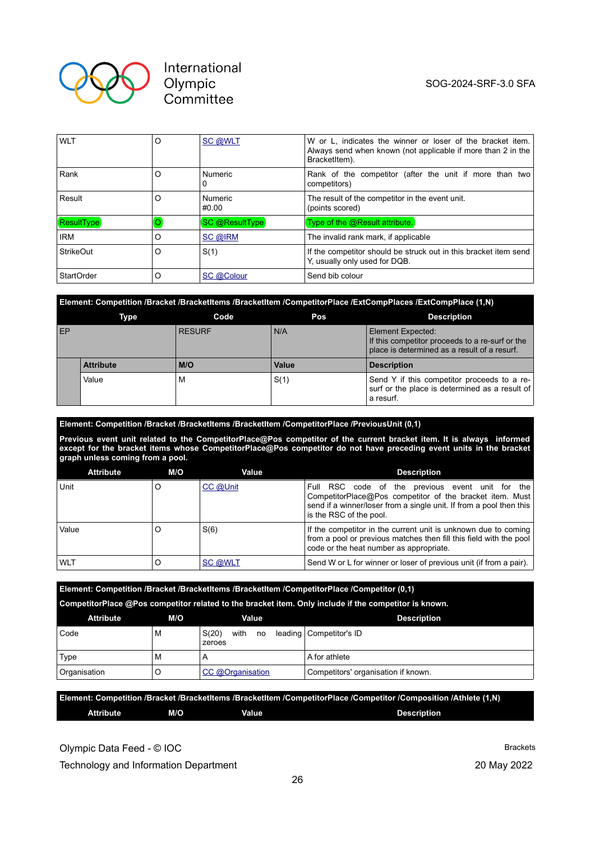

| <b>WLT</b>        | O | SC @WLT               | W or L, indicates the winner or loser of the bracket item.<br>Always send when known (not applicable if more than 2 in the<br>BracketItem). |  |
|-------------------|---|-----------------------|---------------------------------------------------------------------------------------------------------------------------------------------|--|
| Rank              | O | Numeric<br>0          | Rank of the competitor (after the unit if more than two<br>competitors)                                                                     |  |
| Result            | O | Numeric<br>#0.00      | The result of the competitor in the event unit.<br>(points scored)                                                                          |  |
| <b>ResultType</b> |   | <b>SC @ResultType</b> | Type of the @Result attribute.                                                                                                              |  |
| <b>IRM</b>        | O | SC @IRM               | The invalid rank mark, if applicable                                                                                                        |  |
| <b>StrikeOut</b>  | O | S(1)                  | If the competitor should be struck out in this bracket item send<br>Y, usually only used for DQB.                                           |  |
| <b>StartOrder</b> | O | SC @Colour            | Send bib colour                                                                                                                             |  |

<span id="page-25-3"></span>

|      | Element: Competition /Bracket /BracketItems /BracketItem /CompetitorPlace /ExtCompPlaces /ExtCompPlace (1,N) |               |       |                                                                                                                      |  |  |  |
|------|--------------------------------------------------------------------------------------------------------------|---------------|-------|----------------------------------------------------------------------------------------------------------------------|--|--|--|
| Type |                                                                                                              | Code          | Pos   | <b>Description</b>                                                                                                   |  |  |  |
| EP   |                                                                                                              | <b>RESURF</b> | N/A   | Element Expected:<br>If this competitor proceeds to a re-surf or the<br>place is determined as a result of a resurf. |  |  |  |
|      | <b>Attribute</b>                                                                                             | M/O           | Value | <b>Description</b>                                                                                                   |  |  |  |
|      | Value                                                                                                        | м             | S(1)  | Send Y if this competitor proceeds to a re-<br>surf or the place is determined as a result of<br>a resurf.           |  |  |  |

#### <span id="page-25-2"></span>**Element: Competition /Bracket /BracketItems /BracketItem /CompetitorPlace /PreviousUnit (0,1)**

**Previous event unit related to the CompetitorPlace@Pos competitor of the current bracket item. It is always informed except for the bracket items whose CompetitorPlace@Pos competitor do not have preceding event units in the bracket graph unless coming from a pool.**

| <b>Attribute</b> | M/O | Value    | <b>Description</b>                                                                                                                                                                                             |
|------------------|-----|----------|----------------------------------------------------------------------------------------------------------------------------------------------------------------------------------------------------------------|
| Unit             |     | CC @Unit | Full RSC code of the previous event unit for the<br>CompetitorPlace@Pos competitor of the bracket item. Must<br>send if a winner/loser from a single unit. If from a pool then this<br>is the RSC of the pool. |
| Value            |     | S(6)     | If the competitor in the current unit is unknown due to coming<br>from a pool or previous matches then fill this field with the pool<br>code or the heat number as appropriate.                                |
| <b>WLT</b>       |     | SC @WLT  | Send W or L for winner or loser of previous unit (if from a pair).                                                                                                                                             |

<span id="page-25-1"></span>**Element: Competition /Bracket /BracketItems /BracketItem /CompetitorPlace /Competitor (0,1) CompetitorPlace @Pos competitor related to the bracket item. Only include if the competitor is known. Attribute M/O Value Description** Code  $\vert M \vert$   $\vert S(20)$  with no leading zeroes Competitor's ID  $\begin{array}{ccc} \text{Type} & \text{M} & \text{A} & \text{A} \end{array}$  A for athlete Organisation  $\overline{)}$  O  $\overline{CC}$  @Organisation  $\overline{C}$  Competitors' organisation if known.

<span id="page-25-0"></span>**Element: Competition /Bracket /BracketItems /BracketItem /CompetitorPlace /Competitor /Composition /Athlete (1,N) Attribute M/O Value Description**

Olympic Data Feed - © IOC Brackets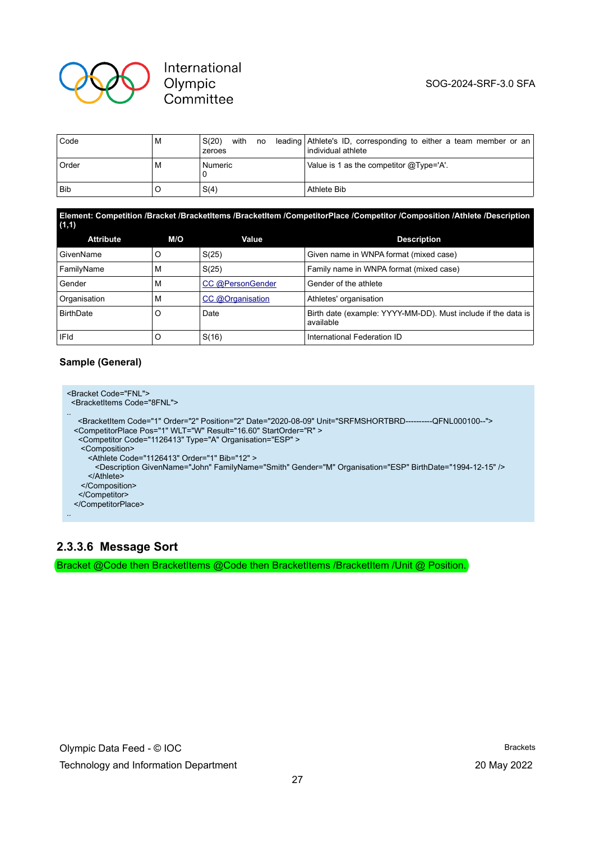

| Code       | M | S(20)<br>zeroes | with no leading Athlete's ID, corresponding to either a team member or an<br>individual athlete |
|------------|---|-----------------|-------------------------------------------------------------------------------------------------|
| Order      | M | Numeric         | Value is 1 as the competitor $@Type='A'$ .                                                      |
| <b>Bib</b> |   | S(4)            | Athlete Bib                                                                                     |

<span id="page-26-1"></span>**Element: Competition /Bracket /BracketItems /BracketItem /CompetitorPlace /Competitor /Composition /Athlete /Description (1,1)**

| <b>Attribute</b> | M/O | Value            | <b>Description</b>                                                         |
|------------------|-----|------------------|----------------------------------------------------------------------------|
| GivenName        |     | S(25)            | Given name in WNPA format (mixed case)                                     |
| FamilyName       | м   | S(25)            | Family name in WNPA format (mixed case)                                    |
| Gender           | M   | CC @PersonGender | Gender of the athlete                                                      |
| Organisation     | M   | CC @Organisation | Athletes' organisation                                                     |
| <b>BirthDate</b> |     | Date             | Birth date (example: YYYY-MM-DD). Must include if the data is<br>available |
| IFId             |     | S(16)            | International Federation ID                                                |

#### **Sample (General)**

<Bracket Code="FNL"> <BracketItems Code="8FNL"> .. <BracketItem Code="1" Order="2" Position="2" Date="2020-08-09" Unit="SRFMSHORTBRD----------QFNL000100--"> <CompetitorPlace Pos="1" WLT="W" Result="16.60" StartOrder="R" > <Competitor Code="1126413" Type="A" Organisation="ESP" > <Composition> <Athlete Code="1126413" Order="1" Bib="12" > <Description GivenName="John" FamilyName="Smith" Gender="M" Organisation="ESP" BirthDate="1994-12-15" /> </Athlete> </Composition> </Competitor> </CompetitorPlace> ..

# <span id="page-26-0"></span>**2.3.3.6 Message Sort**

Bracket @Code then BracketItems @Code then BracketItems /BracketItem /Unit @ Position.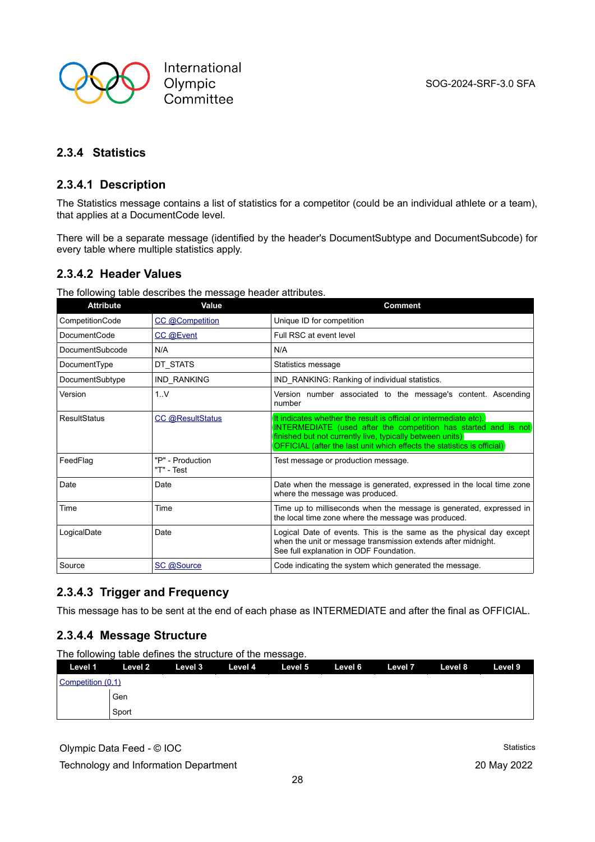

# <span id="page-27-4"></span>**2.3.4 Statistics**

# <span id="page-27-3"></span>**2.3.4.1 Description**

The Statistics message contains a list of statistics for a competitor (could be an individual athlete or a team), that applies at a DocumentCode level.

There will be a separate message (identified by the header's DocumentSubtype and DocumentSubcode) for every table where multiple statistics apply.

# <span id="page-27-2"></span>**2.3.4.2 Header Values**

The following table describes the message header attributes.

| <b>Attribute</b>       | Value                          | <b>Comment</b>                                                                                                                                                                                                                                                                      |
|------------------------|--------------------------------|-------------------------------------------------------------------------------------------------------------------------------------------------------------------------------------------------------------------------------------------------------------------------------------|
| CompetitionCode        | CC @Competition                | Unique ID for competition                                                                                                                                                                                                                                                           |
| DocumentCode           | CC @Event                      | Full RSC at event level                                                                                                                                                                                                                                                             |
| <b>DocumentSubcode</b> | N/A                            | N/A                                                                                                                                                                                                                                                                                 |
| DocumentType           | DT STATS                       | Statistics message                                                                                                                                                                                                                                                                  |
| DocumentSubtype        | <b>IND RANKING</b>             | IND RANKING: Ranking of individual statistics.                                                                                                                                                                                                                                      |
| Version                | 1.1V                           | Version number associated to the message's content. Ascending<br>number                                                                                                                                                                                                             |
| <b>ResultStatus</b>    | CC @ResultStatus               | It indicates whether the result is official or intermediate etc).<br>INTERMEDIATE (used after the competition has started and is not<br>finished but not currently live, typically between units)<br><b>OFFICIAL</b> (after the last unit which effects the statistics is official) |
| FeedFlag               | "P" - Production<br>"T" - Test | Test message or production message.                                                                                                                                                                                                                                                 |
| Date                   | Date                           | Date when the message is generated, expressed in the local time zone<br>where the message was produced.                                                                                                                                                                             |
| Time                   | Time                           | Time up to milliseconds when the message is generated, expressed in<br>the local time zone where the message was produced.                                                                                                                                                          |
| LogicalDate            | Date                           | Logical Date of events. This is the same as the physical day except<br>when the unit or message transmission extends after midnight.<br>See full explanation in ODF Foundation.                                                                                                     |
| Source                 | SC @Source                     | Code indicating the system which generated the message.                                                                                                                                                                                                                             |

# <span id="page-27-1"></span>**2.3.4.3 Trigger and Frequency**

This message has to be sent at the end of each phase as INTERMEDIATE and after the final as OFFICIAL.

# <span id="page-27-0"></span>**2.3.4.4 Message Structure**

The following table defines the structure of the message.

| Level 1           | Level 2 | Level 3 | Level 4 | Level 5 | Level 6 | Level 7 | Level 8 | <b>Level 9</b> |
|-------------------|---------|---------|---------|---------|---------|---------|---------|----------------|
| Competition (0,1) |         |         |         |         |         |         |         |                |
|                   | Gen     |         |         |         |         |         |         |                |
|                   | Sport   |         |         |         |         |         |         |                |

Olympic Data Feed - © IOC Statistics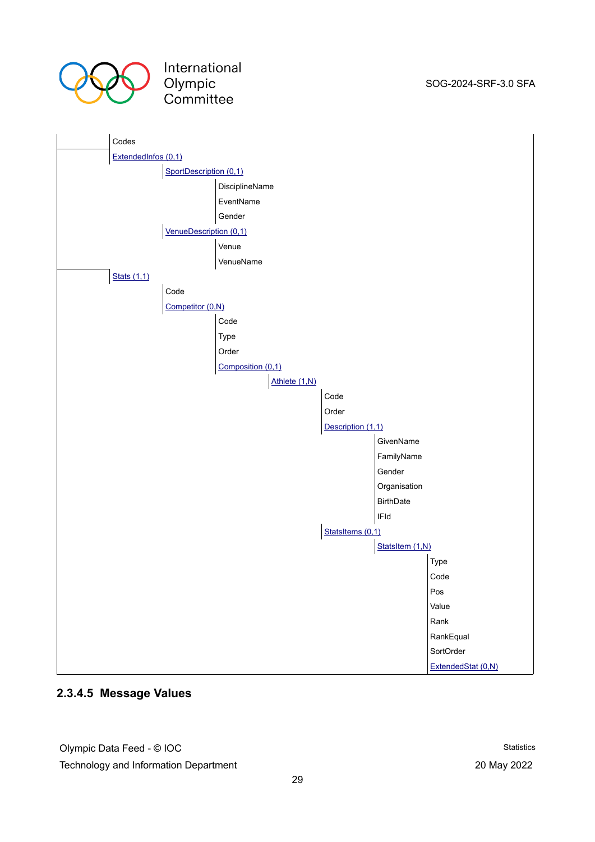



# <span id="page-28-1"></span><span id="page-28-0"></span>**2.3.4.5 Message Values**

Olympic Data Feed - © IOC Statistics Technology and Information Department 20 May 2022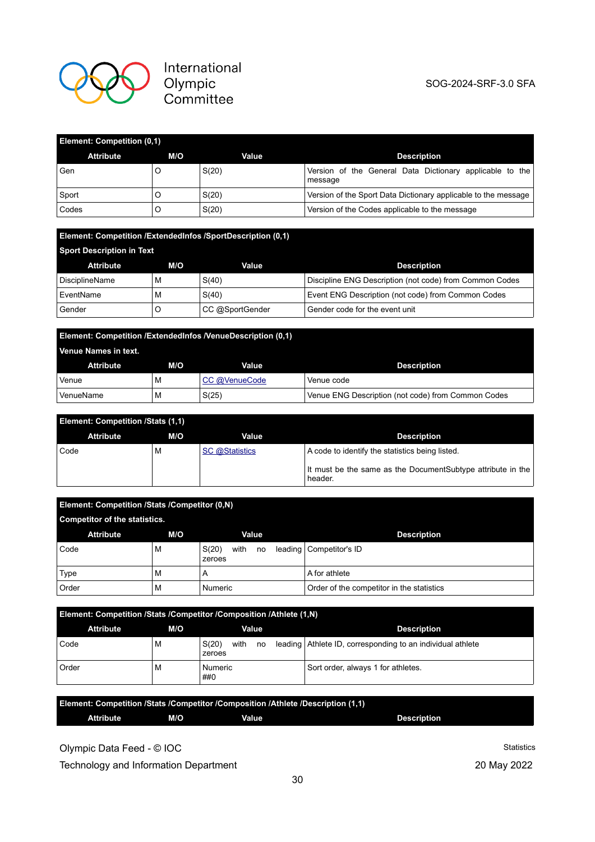

#### SOG-2024-SRF-3.0 SFA

| <b>Element: Competition (0.1)</b> |     |       |                                                                     |  |  |
|-----------------------------------|-----|-------|---------------------------------------------------------------------|--|--|
| <b>Attribute</b>                  | M/O | Value | <b>Description</b>                                                  |  |  |
| Gen                               |     | S(20) | Version of the General Data Dictionary applicable to the<br>message |  |  |
| Sport                             |     | S(20) | Version of the Sport Data Dictionary applicable to the message      |  |  |
| Codes                             |     | S(20) | Version of the Codes applicable to the message                      |  |  |

#### <span id="page-29-5"></span>**Element: Competition /ExtendedInfos /SportDescription (0,1)**

| Sport Description in Text |     |                 |                                                         |  |  |  |
|---------------------------|-----|-----------------|---------------------------------------------------------|--|--|--|
| <b>Attribute</b>          | M/O | Value           | <b>Description</b>                                      |  |  |  |
| <b>DisciplineName</b>     | м   | S(40)           | Discipline ENG Description (not code) from Common Codes |  |  |  |
| EventName                 | М   | S(40)           | Event ENG Description (not code) from Common Codes      |  |  |  |
| Gender                    |     | CC @SportGender | Gender code for the event unit                          |  |  |  |

<span id="page-29-4"></span>

| <b>Element: Competition /ExtendedInfos /VenueDescription (0.1)</b> |     |               |                                                    |  |  |  |
|--------------------------------------------------------------------|-----|---------------|----------------------------------------------------|--|--|--|
| Venue Names in text.                                               |     |               |                                                    |  |  |  |
| <b>Attribute</b>                                                   | M/O | Value         | Description                                        |  |  |  |
| Venue                                                              | М   | CC @VenueCode | Venue code                                         |  |  |  |
| VenueName                                                          | м   | S(25)         | Venue ENG Description (not code) from Common Codes |  |  |  |

<span id="page-29-3"></span>

| <b>Element: Competition /Stats (1,1)</b> |     |                |                                                                        |  |  |  |
|------------------------------------------|-----|----------------|------------------------------------------------------------------------|--|--|--|
| <b>Attribute</b>                         | M/O | Value          | <b>Description</b>                                                     |  |  |  |
| Code                                     | M   | SC @Statistics | A code to identify the statistics being listed.                        |  |  |  |
|                                          |     |                | It must be the same as the DocumentSubtype attribute in the<br>header. |  |  |  |

<span id="page-29-2"></span>

| Element: Competition /Stats /Competitor (0,N) |     |                               |                                           |  |  |  |
|-----------------------------------------------|-----|-------------------------------|-------------------------------------------|--|--|--|
| Competitor of the statistics.                 |     |                               |                                           |  |  |  |
| <b>Attribute</b>                              | M/O | Value                         | <b>Description</b>                        |  |  |  |
| Code                                          | M   | S(20)<br>with<br>no<br>zeroes | leading   Competitor's ID                 |  |  |  |
| Type                                          | M   | A                             | A for athlete                             |  |  |  |
| Order                                         | M   | Numeric                       | Order of the competitor in the statistics |  |  |  |
|                                               |     |                               |                                           |  |  |  |

<span id="page-29-1"></span>

| Element: Competition /Stats /Competitor /Composition /Athlete (1,N) |     |                               |                                                            |  |  |
|---------------------------------------------------------------------|-----|-------------------------------|------------------------------------------------------------|--|--|
| <b>Attribute</b>                                                    | M/O | Value                         | <b>Description</b>                                         |  |  |
| Code                                                                | M   | S(20)<br>with<br>no<br>zeroes | leading Athlete ID, corresponding to an individual athlete |  |  |
| Order                                                               | M   | Numeric<br>##0                | Sort order, always 1 for athletes.                         |  |  |

<span id="page-29-0"></span>

| Element: Competition /Stats /Competitor /Composition /Athlete /Description (1,1) |     |       |                    |  |  |  |
|----------------------------------------------------------------------------------|-----|-------|--------------------|--|--|--|
| <b>Attribute</b>                                                                 | M/O | Value | <b>Description</b> |  |  |  |
|                                                                                  |     |       |                    |  |  |  |

Olympic Data Feed - © IOC Statistics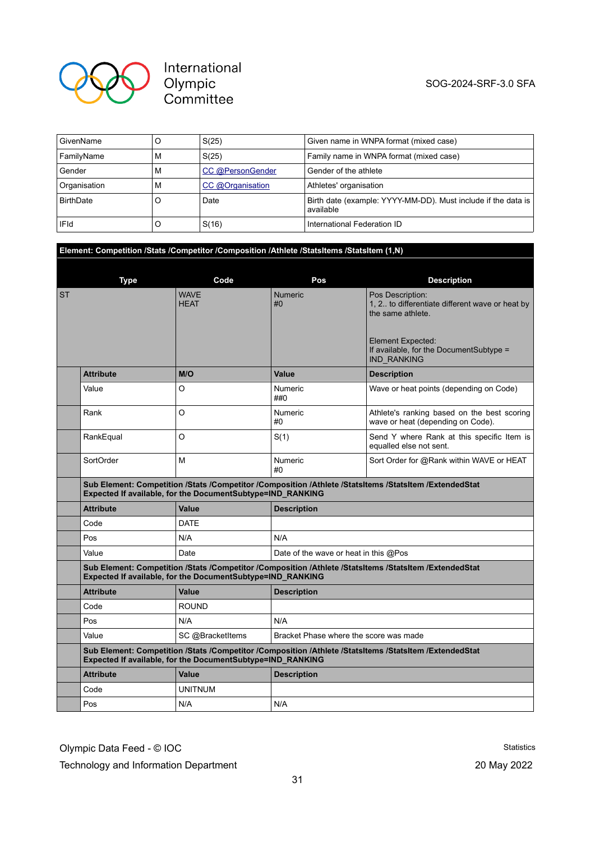

| GivenName        | O | S(25)            | Given name in WNPA format (mixed case)                                     |
|------------------|---|------------------|----------------------------------------------------------------------------|
| FamilyName       | М | S(25)            | Family name in WNPA format (mixed case)                                    |
| Gender           | М | CC @PersonGender | Gender of the athlete                                                      |
| Organisation     | М | CC @Organisation | Athletes' organisation                                                     |
| <b>BirthDate</b> | O | Date             | Birth date (example: YYYY-MM-DD). Must include if the data is<br>available |
| IFId             | O | S(16)            | International Federation ID                                                |

<span id="page-30-0"></span>

|           |                                                                                                                                                                      | Element: Competition /Stats /Competitor /Composition /Athlete /StatsItems /StatsItem (1,N) |                                        |                                                                                                                                                                                 |  |
|-----------|----------------------------------------------------------------------------------------------------------------------------------------------------------------------|--------------------------------------------------------------------------------------------|----------------------------------------|---------------------------------------------------------------------------------------------------------------------------------------------------------------------------------|--|
|           | <b>Type</b>                                                                                                                                                          | Code                                                                                       | Pos                                    | <b>Description</b>                                                                                                                                                              |  |
| <b>ST</b> |                                                                                                                                                                      | <b>WAVE</b><br><b>HFAT</b>                                                                 | <b>Numeric</b><br>#()                  | Pos Description:<br>1, 2 to differentiate different wave or heat by<br>the same athlete.<br><b>Element Expected:</b><br>If available, for the Document Subtype =<br>IND_RANKING |  |
|           | <b>Attribute</b>                                                                                                                                                     | M/O                                                                                        | Value                                  | <b>Description</b>                                                                                                                                                              |  |
|           | Value                                                                                                                                                                | O                                                                                          | Numeric<br>##0                         | Wave or heat points (depending on Code)                                                                                                                                         |  |
|           | Rank                                                                                                                                                                 | O                                                                                          | Numeric<br>#0                          | Athlete's ranking based on the best scoring<br>wave or heat (depending on Code).                                                                                                |  |
|           | RankEqual                                                                                                                                                            | O                                                                                          | S(1)                                   | Send Y where Rank at this specific Item is<br>equalled else not sent.                                                                                                           |  |
|           | SortOrder                                                                                                                                                            | M                                                                                          | <b>Numeric</b><br>#0                   | Sort Order for @Rank within WAVE or HEAT                                                                                                                                        |  |
|           |                                                                                                                                                                      | Expected If available, for the DocumentSubtype=IND_RANKING                                 |                                        | Sub Element: Competition /Stats /Competitor /Composition /Athlete /StatsItems /StatsItem /ExtendedStat                                                                          |  |
|           | <b>Attribute</b>                                                                                                                                                     | Value                                                                                      | <b>Description</b>                     |                                                                                                                                                                                 |  |
|           | Code                                                                                                                                                                 | <b>DATE</b>                                                                                |                                        |                                                                                                                                                                                 |  |
|           | Pos                                                                                                                                                                  | N/A                                                                                        | N/A                                    |                                                                                                                                                                                 |  |
|           | Value                                                                                                                                                                | Date                                                                                       | Date of the wave or heat in this @Pos  |                                                                                                                                                                                 |  |
|           |                                                                                                                                                                      | Expected If available, for the DocumentSubtype=IND_RANKING                                 |                                        | Sub Element: Competition /Stats /Competitor /Composition /Athlete /StatsItems /StatsItem /ExtendedStat                                                                          |  |
|           | <b>Attribute</b>                                                                                                                                                     | Value                                                                                      | <b>Description</b>                     |                                                                                                                                                                                 |  |
|           | Code                                                                                                                                                                 | <b>ROUND</b>                                                                               |                                        |                                                                                                                                                                                 |  |
|           | Pos                                                                                                                                                                  | N/A                                                                                        | N/A                                    |                                                                                                                                                                                 |  |
|           | Value                                                                                                                                                                | SC @BracketItems                                                                           | Bracket Phase where the score was made |                                                                                                                                                                                 |  |
|           | Sub Element: Competition /Stats /Competitor /Composition /Athlete /StatsItems /StatsItem /ExtendedStat<br>Expected If available, for the DocumentSubtype=IND_RANKING |                                                                                            |                                        |                                                                                                                                                                                 |  |
|           | <b>Attribute</b>                                                                                                                                                     | Value                                                                                      | <b>Description</b>                     |                                                                                                                                                                                 |  |
|           | Code                                                                                                                                                                 | <b>UNITNUM</b>                                                                             |                                        |                                                                                                                                                                                 |  |
|           | Pos                                                                                                                                                                  | N/A                                                                                        | N/A                                    |                                                                                                                                                                                 |  |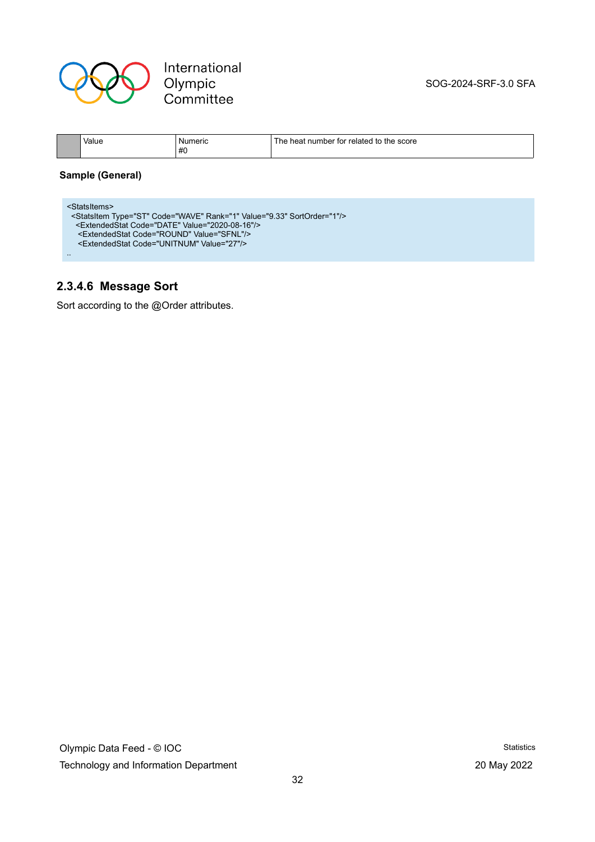

| $\ddot{\phantom{1}}$<br>Value | ımeric<br>Nur<br>$\mu$<br>πι | ∵related.<br>score<br>-he<br>$-$<br>to<br>number for<br>neat<br>me |
|-------------------------------|------------------------------|--------------------------------------------------------------------|
|                               | mu                           |                                                                    |

# **Sample (General)**

| <statsitems></statsitems> |                                                                                   |
|---------------------------|-----------------------------------------------------------------------------------|
|                           |                                                                                   |
|                           | <statsitem code="WAVE" rank="1" sortorder="1" type="ST" value="9.33"></statsitem> |
|                           | <extendedstat code="DATE" value="2020-08-16"></extendedstat>                      |
|                           |                                                                                   |
|                           | <extendedstat code="ROUND" value="SFNL"></extendedstat>                           |
|                           | <extendedstat code="UNITNUM" value="27"></extendedstat>                           |
|                           |                                                                                   |
| $\cdots$                  |                                                                                   |

# <span id="page-31-0"></span>**2.3.4.6 Message Sort**

Sort according to the @Order attributes.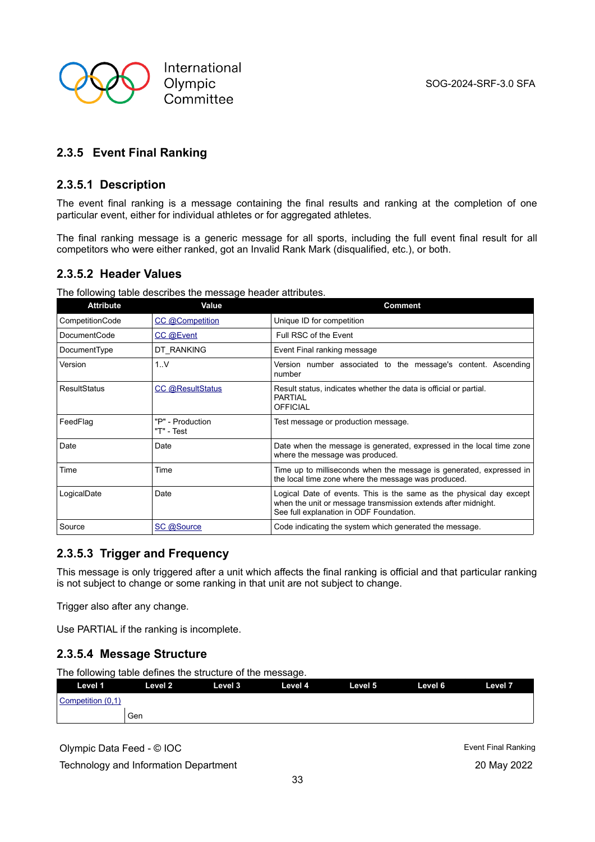

# <span id="page-32-4"></span>**2.3.5 Event Final Ranking**

#### <span id="page-32-3"></span>**2.3.5.1 Description**

The event final ranking is a message containing the final results and ranking at the completion of one particular event, either for individual athletes or for aggregated athletes.

The final ranking message is a generic message for all sports, including the full event final result for all competitors who were either ranked, got an Invalid Rank Mark (disqualified, etc.), or both.

#### <span id="page-32-2"></span>**2.3.5.2 Header Values**

The following table describes the message header attributes.

| <b>Attribute</b>    | Value                          | <b>Comment</b>                                                                                                                                                                  |
|---------------------|--------------------------------|---------------------------------------------------------------------------------------------------------------------------------------------------------------------------------|
| CompetitionCode     | CC @Competition                | Unique ID for competition                                                                                                                                                       |
| <b>DocumentCode</b> | CC @Event                      | Full RSC of the Event                                                                                                                                                           |
| DocumentType        | DT RANKING                     | Event Final ranking message                                                                                                                                                     |
| Version             | 1.1V                           | Version number associated to the message's content. Ascending<br>number                                                                                                         |
| <b>ResultStatus</b> | CC @ResultStatus               | Result status, indicates whether the data is official or partial.<br><b>PARTIAL</b><br><b>OFFICIAL</b>                                                                          |
| FeedFlag            | "P" - Production<br>"T" - Test | Test message or production message.                                                                                                                                             |
| Date                | Date                           | Date when the message is generated, expressed in the local time zone<br>where the message was produced.                                                                         |
| Time                | Time                           | Time up to milliseconds when the message is generated, expressed in<br>the local time zone where the message was produced.                                                      |
| LogicalDate         | Date                           | Logical Date of events. This is the same as the physical day except<br>when the unit or message transmission extends after midnight.<br>See full explanation in ODF Foundation. |
| Source              | SC @Source                     | Code indicating the system which generated the message.                                                                                                                         |

### <span id="page-32-1"></span>**2.3.5.3 Trigger and Frequency**

This message is only triggered after a unit which affects the final ranking is official and that particular ranking is not subject to change or some ranking in that unit are not subject to change.

Trigger also after any change.

Use PARTIAL if the ranking is incomplete.

#### <span id="page-32-0"></span>**2.3.5.4 Message Structure**

The following table defines the structure of the message.

| Level 1           | Level 2 | Level 3 | Level 4 | Level 5 | Level 6 | Level 7 |
|-------------------|---------|---------|---------|---------|---------|---------|
| Competition (0,1) |         |         |         |         |         |         |
|                   | Gen     |         |         |         |         |         |

Olympic Data Feed - © IOC **Example 2018** Event Final Ranking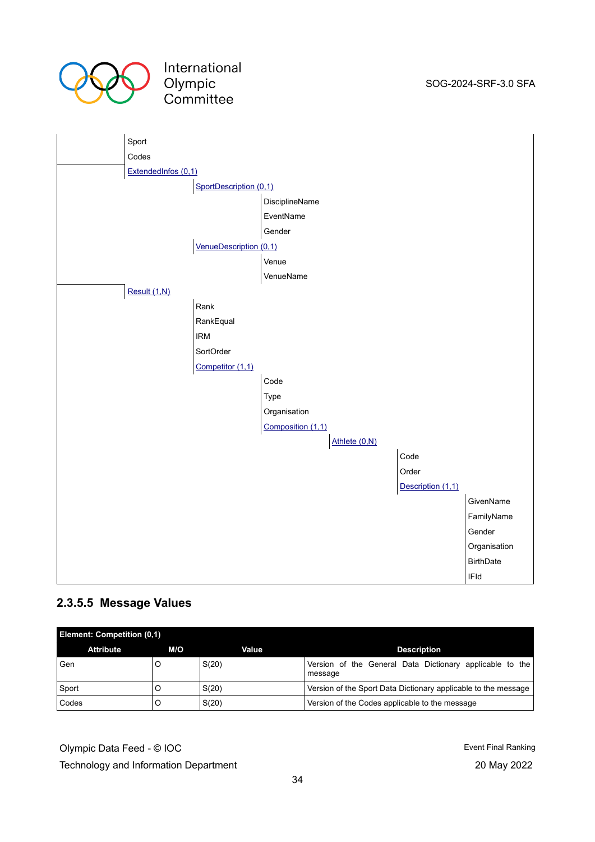



# <span id="page-33-0"></span>**2.3.5.5 Message Values**

<span id="page-33-1"></span>

| <b>Element: Competition (0,1)</b> |     |       |                                                                     |  |
|-----------------------------------|-----|-------|---------------------------------------------------------------------|--|
| <b>Attribute</b>                  | M/O | Value | <b>Description</b>                                                  |  |
| Gen                               |     | S(20) | Version of the General Data Dictionary applicable to the<br>message |  |
| Sport                             |     | S(20) | Version of the Sport Data Dictionary applicable to the message      |  |
| Codes                             |     | S(20) | Version of the Codes applicable to the message                      |  |

<span id="page-33-2"></span>Olympic Data Feed - © IOC **Example 2018** Event Final Ranking Technology and Information Department 20 May 2022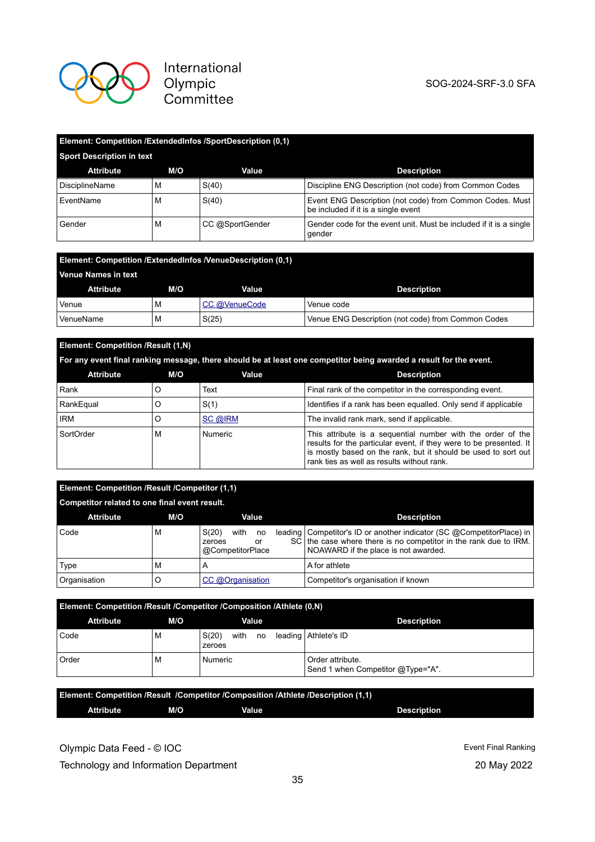

| Element: Competition /ExtendedInfos /SportDescription (0.1) |     |                 |                                                                                                 |  |  |
|-------------------------------------------------------------|-----|-----------------|-------------------------------------------------------------------------------------------------|--|--|
| <b>Sport Description in text</b>                            |     |                 |                                                                                                 |  |  |
| <b>Attribute</b>                                            | M/O | Value           | <b>Description</b>                                                                              |  |  |
| <b>DisciplineName</b>                                       | м   | S(40)           | Discipline ENG Description (not code) from Common Codes                                         |  |  |
| EventName                                                   | м   | S(40)           | Event ENG Description (not code) from Common Codes. Must<br>be included if it is a single event |  |  |
| Gender                                                      | м   | CC @SportGender | Gender code for the event unit. Must be included if it is a single<br>gender                    |  |  |

<span id="page-34-4"></span>

| Element: Competition /ExtendedInfos /VenueDescription (0,1) |     |               |                                                    |  |  |
|-------------------------------------------------------------|-----|---------------|----------------------------------------------------|--|--|
| Venue Names in text                                         |     |               |                                                    |  |  |
| <b>Attribute</b>                                            | M/O | Value         | <b>Description</b>                                 |  |  |
| Venue                                                       | м   | CC @VenueCode | Venue code                                         |  |  |
| VenueName                                                   | M   | S(25)         | Venue ENG Description (not code) from Common Codes |  |  |

<span id="page-34-3"></span>

| <b>Element: Competition /Result (1,N)</b> |                                                                                                                    |                |                                                                                                                                                                                                                                                   |  |  |
|-------------------------------------------|--------------------------------------------------------------------------------------------------------------------|----------------|---------------------------------------------------------------------------------------------------------------------------------------------------------------------------------------------------------------------------------------------------|--|--|
|                                           | For any event final ranking message, there should be at least one competitor being awarded a result for the event. |                |                                                                                                                                                                                                                                                   |  |  |
| <b>Attribute</b>                          | M/O                                                                                                                | Value          | <b>Description</b>                                                                                                                                                                                                                                |  |  |
| Rank                                      | O                                                                                                                  | Text           | Final rank of the competitor in the corresponding event.                                                                                                                                                                                          |  |  |
| RankEqual                                 | O                                                                                                                  | S(1)           | Identifies if a rank has been equalled. Only send if applicable                                                                                                                                                                                   |  |  |
| <b>IRM</b>                                | O                                                                                                                  | SC @IRM        | The invalid rank mark, send if applicable.                                                                                                                                                                                                        |  |  |
| SortOrder                                 | м                                                                                                                  | <b>Numeric</b> | This attribute is a sequential number with the order of the<br>results for the particular event, if they were to be presented. It<br>is mostly based on the rank, but it should be used to sort out<br>rank ties as well as results without rank. |  |  |

#### <span id="page-34-2"></span>**Element: Competition /Result /Competitor (1,1)**

| Competitor related to one final event result. |     |                                                         |                                                                                                                                                                                   |  |  |
|-----------------------------------------------|-----|---------------------------------------------------------|-----------------------------------------------------------------------------------------------------------------------------------------------------------------------------------|--|--|
| <b>Attribute</b>                              | M/O | Value                                                   | <b>Description</b>                                                                                                                                                                |  |  |
| Code                                          | м   | S(20)<br>with<br>no<br>zeroes<br>or<br>@CompetitorPlace | leading Competitor's ID or another indicator (SC @CompetitorPlace) in<br>SC the case where there is no competitor in the rank due to IRM.<br>NOAWARD if the place is not awarded. |  |  |
| Type                                          | M   | $\overline{a}$                                          | A for athlete                                                                                                                                                                     |  |  |
| Organisation                                  | U   | CC @Organisation                                        | Competitor's organisation if known                                                                                                                                                |  |  |

<span id="page-34-1"></span>

| <b>Element: Competition /Result /Competitor /Composition /Athlete (0,N)</b> |     |                               |                                                       |  |  |
|-----------------------------------------------------------------------------|-----|-------------------------------|-------------------------------------------------------|--|--|
| <b>Attribute</b>                                                            | M/O | Value                         | <b>Description</b>                                    |  |  |
| Code                                                                        | M   | S(20)<br>with<br>no<br>zeroes | leading   Athlete's ID                                |  |  |
| Order                                                                       | м   | Numeric                       | Order attribute.<br>Send 1 when Competitor @Type="A". |  |  |

<span id="page-34-0"></span>

| <b>Element: Competition /Result /Competitor /Composition /Athlete /Description (1,1)</b> |     |       |                    |  |  |
|------------------------------------------------------------------------------------------|-----|-------|--------------------|--|--|
| <b>Attribute</b>                                                                         | M/O | Value | <b>Description</b> |  |  |
|                                                                                          |     |       |                    |  |  |
|                                                                                          |     |       |                    |  |  |

35

Olympic Data Feed - © IOC **Example 2018** Event Final Ranking Technology and Information Department 20 May 2022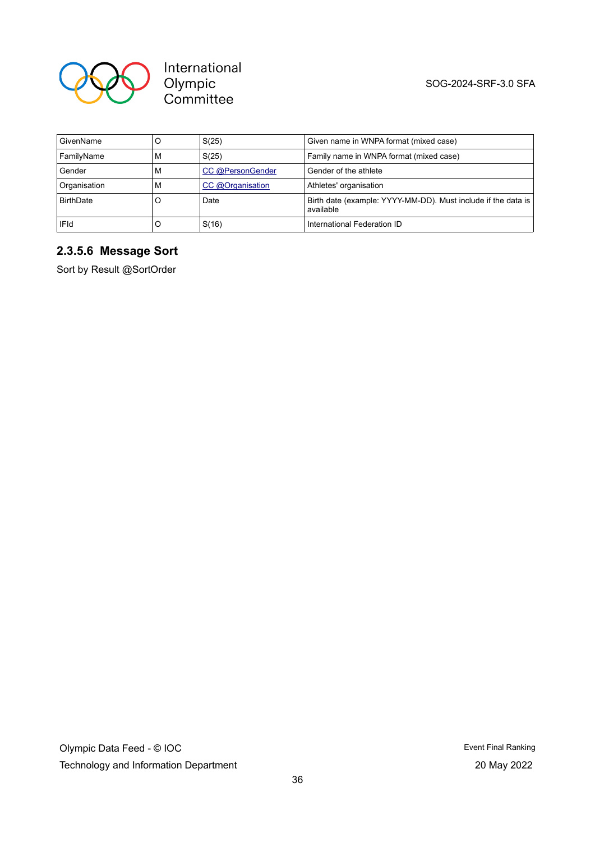

| GivenName        | O       | S(25)            | Given name in WNPA format (mixed case)                                     |
|------------------|---------|------------------|----------------------------------------------------------------------------|
| FamilyName       | м       | S(25)            | Family name in WNPA format (mixed case)                                    |
| Gender           | м       | CC @PersonGender | Gender of the athlete                                                      |
| Organisation     | м       | CC @Organisation | Athletes' organisation                                                     |
| <b>BirthDate</b> | $\circ$ | Date             | Birth date (example: YYYY-MM-DD). Must include if the data is<br>available |
| IFId             | O       | S(16)            | International Federation ID                                                |

# <span id="page-35-0"></span>**2.3.5.6 Message Sort**

Sort by Result @SortOrder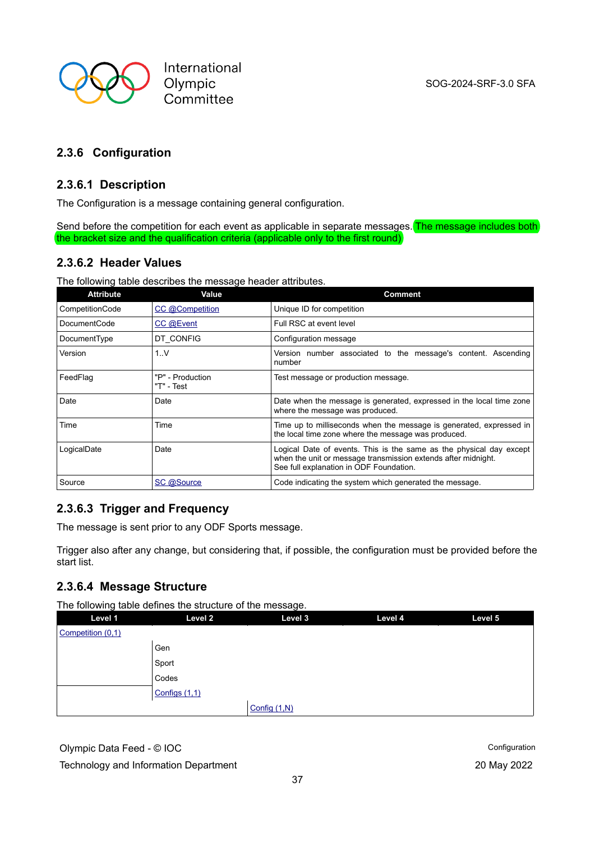

# <span id="page-36-0"></span>**2.3.6 Configuration**

# <span id="page-36-4"></span>**2.3.6.1 Description**

The Configuration is a message containing general configuration.

Send before the competition for each event as applicable in separate messages. The message includes both the bracket size and the qualification criteria (applicable only to the first round)

### <span id="page-36-3"></span>**2.3.6.2 Header Values**

The following table describes the message header attributes.

| <b>Attribute</b>    | Value                          | <b>Comment</b>                                                                                                                                                                  |
|---------------------|--------------------------------|---------------------------------------------------------------------------------------------------------------------------------------------------------------------------------|
| CompetitionCode     | CC @Competition                | Unique ID for competition                                                                                                                                                       |
| <b>DocumentCode</b> | CC @Event                      | Full RSC at event level                                                                                                                                                         |
| DocumentType        | DT CONFIG                      | Configuration message                                                                                                                                                           |
| Version             | 1.1V                           | Version number associated to the message's content. Ascending<br>number                                                                                                         |
| FeedFlag            | "P" - Production<br>"T" - Test | Test message or production message.                                                                                                                                             |
| Date                | Date                           | Date when the message is generated, expressed in the local time zone<br>where the message was produced.                                                                         |
| Time                | Time                           | Time up to milliseconds when the message is generated, expressed in<br>the local time zone where the message was produced.                                                      |
| LogicalDate         | Date                           | Logical Date of events. This is the same as the physical day except<br>when the unit or message transmission extends after midnight.<br>See full explanation in ODF Foundation. |
| Source              | SC @Source                     | Code indicating the system which generated the message.                                                                                                                         |

# <span id="page-36-2"></span>**2.3.6.3 Trigger and Frequency**

The message is sent prior to any ODF Sports message.

Trigger also after any change, but considering that, if possible, the configuration must be provided before the start list.

#### <span id="page-36-1"></span>**2.3.6.4 Message Structure**

The following table defines the structure of the message.

| Level 1           | Level 2         | __<br>Level 3 | Level 4 | Level 5 |
|-------------------|-----------------|---------------|---------|---------|
| Competition (0,1) |                 |               |         |         |
|                   | Gen             |               |         |         |
|                   | Sport           |               |         |         |
|                   | Codes           |               |         |         |
|                   | Configs $(1,1)$ |               |         |         |
|                   |                 | Config (1,N)  |         |         |

Olympic Data Feed - © IOC Configuration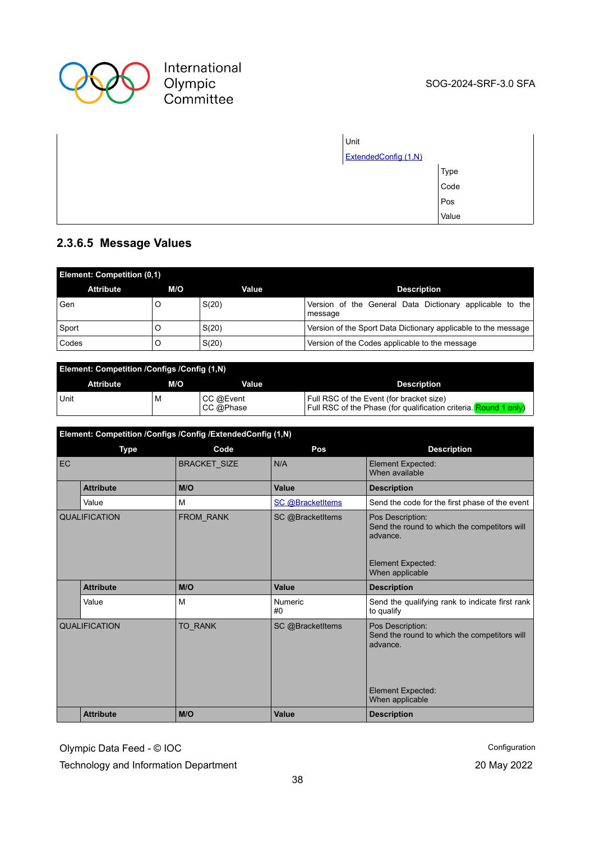

| Unit                 |       |
|----------------------|-------|
| ExtendedConfig (1,N) |       |
|                      | Type  |
|                      | Code  |
|                      | Pos   |
|                      | Value |

# <span id="page-37-0"></span>**2.3.6.5 Message Values**

<span id="page-37-2"></span>

| <b>Element: Competition (0,1)</b> |     |       |                                                                     |  |  |
|-----------------------------------|-----|-------|---------------------------------------------------------------------|--|--|
| <b>Attribute</b>                  | M/O | Value | <b>Description</b>                                                  |  |  |
| Gen                               |     | S(20) | Version of the General Data Dictionary applicable to the<br>message |  |  |
| Sport                             |     | S(20) | Version of the Sport Data Dictionary applicable to the message      |  |  |
| Codes                             |     | S(20) | Version of the Codes applicable to the message                      |  |  |

<span id="page-37-1"></span>

| <b>Element: Competition Configs /Config (1,N)</b> |     |                        |                                                                                                              |  |  |
|---------------------------------------------------|-----|------------------------|--------------------------------------------------------------------------------------------------------------|--|--|
| <b>Attribute</b>                                  | M/O | Value                  | <b>Description</b>                                                                                           |  |  |
| Unit                                              | M   | CC @Event<br>CC @Phase | Full RSC of the Event (for bracket size)<br>Full RSC of the Phase (for qualification criteria. Round 1 only) |  |  |

<span id="page-37-3"></span>

|    | Element: Competition /Configs /Config /ExtendedConfig (1,N) |                     |                  |                                                                                                                             |  |  |
|----|-------------------------------------------------------------|---------------------|------------------|-----------------------------------------------------------------------------------------------------------------------------|--|--|
|    | <b>Type</b>                                                 | Code                | Pos              | <b>Description</b>                                                                                                          |  |  |
| EC |                                                             | <b>BRACKET SIZE</b> | N/A              | <b>Element Expected:</b><br>When available                                                                                  |  |  |
|    | <b>Attribute</b>                                            | M/O                 | Value            | <b>Description</b>                                                                                                          |  |  |
|    | Value                                                       | M                   | SC @BracketItems | Send the code for the first phase of the event                                                                              |  |  |
|    | <b>QUALIFICATION</b>                                        | <b>FROM RANK</b>    | SC @BracketItems | Pos Description:<br>Send the round to which the competitors will<br>advance.<br>Element Expected:<br>When applicable        |  |  |
|    |                                                             |                     |                  |                                                                                                                             |  |  |
|    | <b>Attribute</b>                                            | M/O                 | Value            | <b>Description</b>                                                                                                          |  |  |
|    | Value                                                       | M                   | Numeric<br>#0    | Send the qualifying rank to indicate first rank<br>to qualify                                                               |  |  |
|    | <b>QUALIFICATION</b>                                        | <b>TO RANK</b>      | SC @BracketItems | Pos Description:<br>Send the round to which the competitors will<br>advance.<br><b>Element Expected:</b><br>When applicable |  |  |

Olympic Data Feed - © IOC Configuration Technology and Information Department 20 May 2022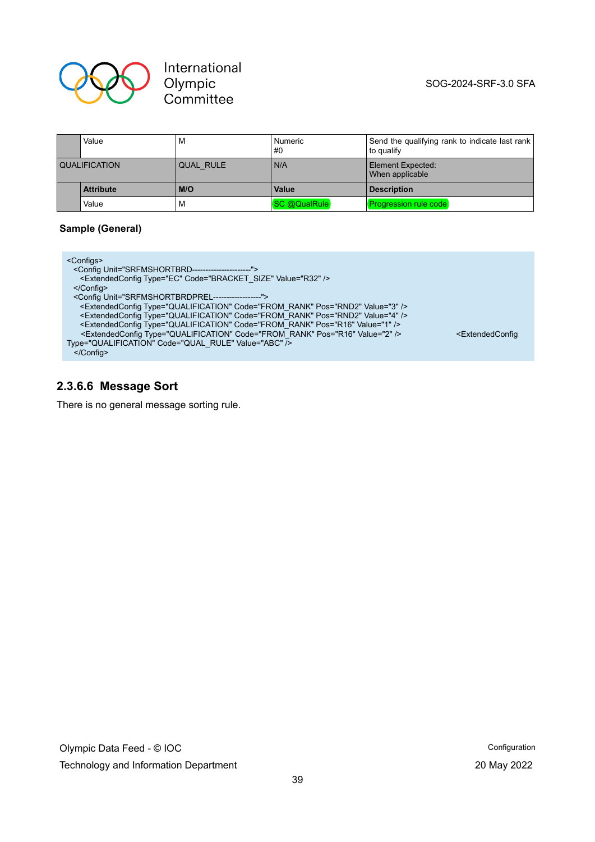

| Value                | м         | Numeric<br>#C       | Send the qualifying rank to indicate last rank<br>to qualify |
|----------------------|-----------|---------------------|--------------------------------------------------------------|
| <b>QUALIFICATION</b> | QUAL RULE | N/A                 | <b>Element Expected:</b><br>When applicable                  |
| <b>Attribute</b>     | M/O       | Value               | <b>Description</b>                                           |
| Value                | м         | <b>SC @QualRule</b> | <b>Progression rule code</b>                                 |

#### **Sample (General)**

<Configs> <Config Unit="SRFMSHORTBRD----------------------"> <ExtendedConfig Type="EC" Code="BRACKET\_SIZE" Value="R32" /> </Config> <Config Unit="SRFMSHORTBRDPREL------------------"> <ExtendedConfig Type="QUALIFICATION" Code="FROM\_RANK" Pos="RND2" Value="3" /> <ExtendedConfig Type="QUALIFICATION" Code="FROM\_RANK" Pos="RND2" Value="4" /> <ExtendedConfig Type="QUALIFICATION" Code="FROM\_RANK" Pos="R16" Value="1" /> <ExtendedConfig Type="QUALIFICATION" Code="FROM\_RANK" Pos="R16" Value="2" /> <ExtendedConfig Type="QUALIFICATION" Code="QUAL\_RULE" Value="ABC" /> </Config>

# <span id="page-38-0"></span>**2.3.6.6 Message Sort**

There is no general message sorting rule.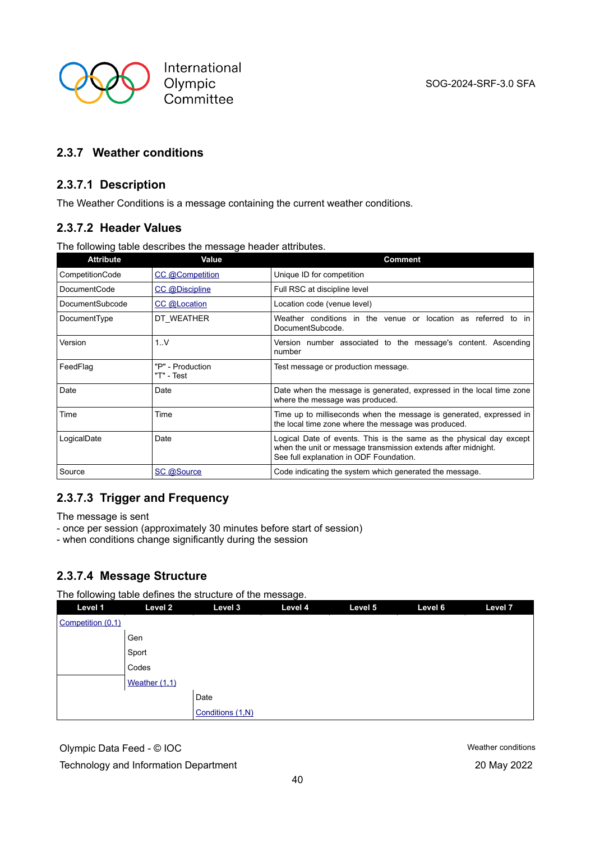

# <span id="page-39-4"></span>**2.3.7 Weather conditions**

# <span id="page-39-3"></span>**2.3.7.1 Description**

The Weather Conditions is a message containing the current weather conditions.

#### <span id="page-39-2"></span>**2.3.7.2 Header Values**

The following table describes the message header attributes.

| <b>Attribute</b> | Value                          | <b>Comment</b>                                                                                                                                                                  |
|------------------|--------------------------------|---------------------------------------------------------------------------------------------------------------------------------------------------------------------------------|
| CompetitionCode  | CC @Competition                | Unique ID for competition                                                                                                                                                       |
| DocumentCode     | CC @Discipline                 | Full RSC at discipline level                                                                                                                                                    |
| DocumentSubcode  | CC @Location                   | Location code (venue level)                                                                                                                                                     |
| DocumentType     | DT WEATHER                     | Weather conditions in the venue or location as referred to in<br>DocumentSubcode.                                                                                               |
| Version          | 1V                             | Version number associated to the message's content. Ascending<br>number                                                                                                         |
| FeedFlag         | "P" - Production<br>"T" - Test | Test message or production message.                                                                                                                                             |
| Date             | Date                           | Date when the message is generated, expressed in the local time zone<br>where the message was produced.                                                                         |
| Time             | Time                           | Time up to milliseconds when the message is generated, expressed in<br>the local time zone where the message was produced.                                                      |
| LogicalDate      | Date                           | Logical Date of events. This is the same as the physical day except<br>when the unit or message transmission extends after midnight.<br>See full explanation in ODF Foundation. |
| Source           | SC @Source                     | Code indicating the system which generated the message.                                                                                                                         |

# <span id="page-39-1"></span>**2.3.7.3 Trigger and Frequency**

The message is sent

- once per session (approximately 30 minutes before start of session)
- when conditions change significantly during the session

# <span id="page-39-0"></span>**2.3.7.4 Message Structure**

The following table defines the structure of the message.

| .<br>Level 1      | <b>Level 2</b>  | Level 3          | - - - - U -<br>Level 4 | Level 5 | Level 6 | Level 7 |
|-------------------|-----------------|------------------|------------------------|---------|---------|---------|
| Competition (0,1) |                 |                  |                        |         |         |         |
|                   | Gen             |                  |                        |         |         |         |
|                   | Sport           |                  |                        |         |         |         |
|                   | Codes           |                  |                        |         |         |         |
|                   | Weather $(1,1)$ |                  |                        |         |         |         |
|                   |                 | Date             |                        |         |         |         |
|                   |                 | Conditions (1,N) |                        |         |         |         |

Olympic Data Feed - © IOC **Weather conditions**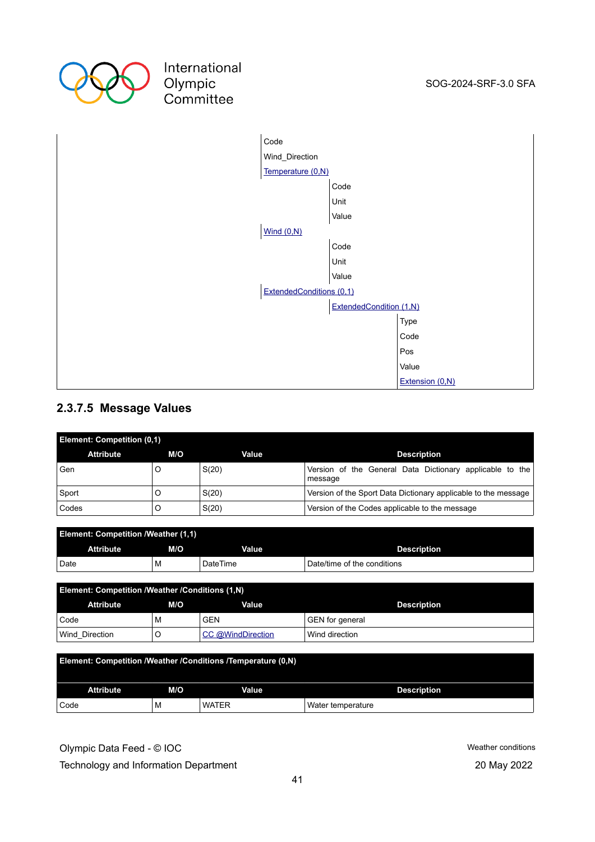



# <span id="page-40-0"></span>**2.3.7.5 Message Values**

<span id="page-40-3"></span>

| <b>Element: Competition (0,1)</b> |     |       |                                                                     |  |  |
|-----------------------------------|-----|-------|---------------------------------------------------------------------|--|--|
| <b>Attribute</b>                  | M/O | Value | <b>Description</b>                                                  |  |  |
| Gen                               |     | S(20) | Version of the General Data Dictionary applicable to the<br>message |  |  |
| Sport                             |     | S(20) | Version of the Sport Data Dictionary applicable to the message      |  |  |
| Codes                             |     | S(20) | Version of the Codes applicable to the message                      |  |  |

<span id="page-40-2"></span>

| <b>Element: Competition /Weather (1,1)</b> |     |          |                             |  |
|--------------------------------------------|-----|----------|-----------------------------|--|
| <b>Attribute</b>                           | M/O | Value    | <b>Description</b>          |  |
| Date                                       | ΙVΙ | DateTime | Date/time of the conditions |  |

<span id="page-40-1"></span>

| <b>Element: Competition /Weather /Conditions (1,N)</b> |     |                   |                        |  |
|--------------------------------------------------------|-----|-------------------|------------------------|--|
| <b>Attribute</b>                                       | M/O | Value             | <b>Description</b>     |  |
| Code                                                   | м   | GEN               | <b>GEN</b> for general |  |
| Wind Direction                                         |     | CC @WindDirection | Wind direction         |  |

<span id="page-40-4"></span>

| <b>Element: Competition /Weather /Conditions /Temperature (0,N)</b> |     |              |                    |  |
|---------------------------------------------------------------------|-----|--------------|--------------------|--|
| <b>Attribute</b>                                                    | M/O | Value        | <b>Description</b> |  |
| Code                                                                | M   | <b>WATER</b> | Water temperature  |  |

Olympic Data Feed - © IOC **Weather conditions**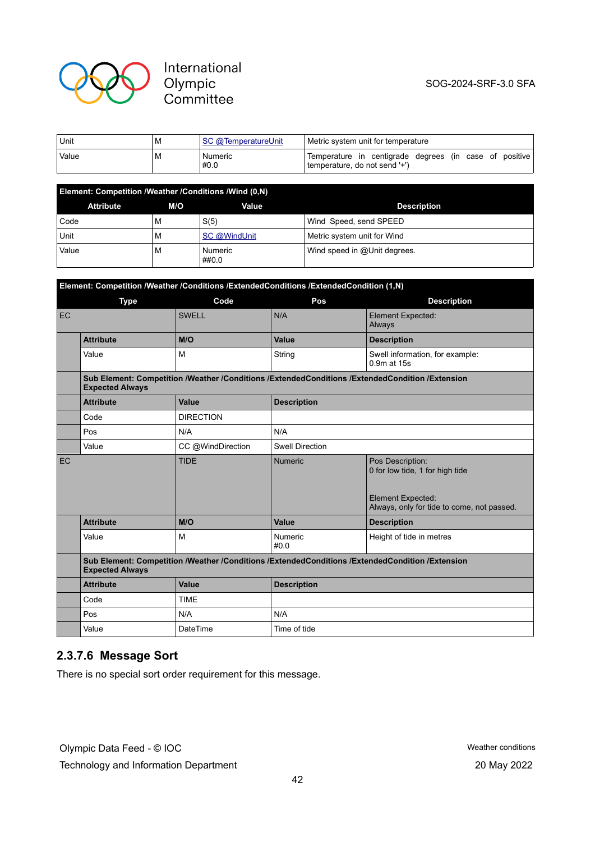

| Unit  | M | SC @TemperatureUnit | Metric system unit for temperature                                                       |  |
|-------|---|---------------------|------------------------------------------------------------------------------------------|--|
| Value | M | Numeric<br>#0.0     | Temperature in centigrade degrees (in case of positive)<br>temperature, do not send '+') |  |

<span id="page-41-2"></span>

| <b>Element: Competition /Weather /Conditions /Wind (0,N)</b> |     |                  |                              |  |
|--------------------------------------------------------------|-----|------------------|------------------------------|--|
| <b>Attribute</b>                                             | M/O | Value            | <b>Description</b>           |  |
| Code                                                         | M   | S(5)             | Wind Speed, send SPEED       |  |
| Unit                                                         | м   | SC @WindUnit     | Metric system unit for Wind  |  |
| Value                                                        | M   | Numeric<br>##0.0 | Wind speed in @Unit degrees. |  |

<span id="page-41-1"></span>

|    | Element: Competition /Weather /Conditions /ExtendedConditions /ExtendedCondition (1,N)                                    |                   |                        |                                                                                                                               |  |  |
|----|---------------------------------------------------------------------------------------------------------------------------|-------------------|------------------------|-------------------------------------------------------------------------------------------------------------------------------|--|--|
|    | <b>Type</b>                                                                                                               | Code              | Pos                    | <b>Description</b>                                                                                                            |  |  |
| EC |                                                                                                                           | <b>SWELL</b>      | N/A                    | <b>Element Expected:</b><br>Always                                                                                            |  |  |
|    | <b>Attribute</b>                                                                                                          | M/O               | Value                  | <b>Description</b>                                                                                                            |  |  |
|    | Value                                                                                                                     | M                 | String                 | Swell information, for example:<br>0.9m at 15s                                                                                |  |  |
|    | <b>Expected Always</b>                                                                                                    |                   |                        | Sub Element: Competition /Weather /Conditions /ExtendedConditions /ExtendedCondition /Extension                               |  |  |
|    | <b>Attribute</b>                                                                                                          | Value             | <b>Description</b>     |                                                                                                                               |  |  |
|    | Code                                                                                                                      | <b>DIRECTION</b>  |                        |                                                                                                                               |  |  |
|    | Pos                                                                                                                       | N/A               | N/A                    |                                                                                                                               |  |  |
|    | Value                                                                                                                     | CC @WindDirection | <b>Swell Direction</b> |                                                                                                                               |  |  |
| EC |                                                                                                                           | <b>TIDE</b>       | <b>Numeric</b>         | Pos Description:<br>0 for low tide, 1 for high tide<br><b>Element Expected:</b><br>Always, only for tide to come, not passed. |  |  |
|    | <b>Attribute</b>                                                                                                          | M/O               | Value                  | <b>Description</b>                                                                                                            |  |  |
|    | Value                                                                                                                     | M                 | Numeric<br>#0.0        | Height of tide in metres                                                                                                      |  |  |
|    | Sub Element: Competition /Weather /Conditions /ExtendedConditions /ExtendedCondition /Extension<br><b>Expected Always</b> |                   |                        |                                                                                                                               |  |  |
|    | <b>Attribute</b>                                                                                                          | Value             | <b>Description</b>     |                                                                                                                               |  |  |
|    | Code                                                                                                                      | <b>TIME</b>       |                        |                                                                                                                               |  |  |
|    | Pos                                                                                                                       | N/A               | N/A                    |                                                                                                                               |  |  |
|    | Value                                                                                                                     | DateTime          | Time of tide           |                                                                                                                               |  |  |

# <span id="page-41-0"></span>**2.3.7.6 Message Sort**

There is no special sort order requirement for this message.

Olympic Data Feed - © IOC **Weather conditions** Technology and Information Department 20 May 2022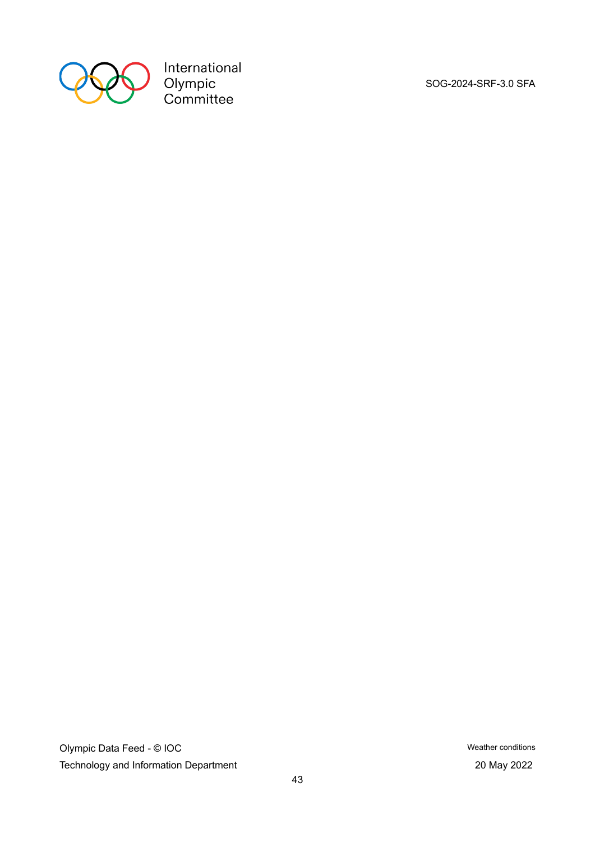

SOG-2024-SRF-3.0 SFA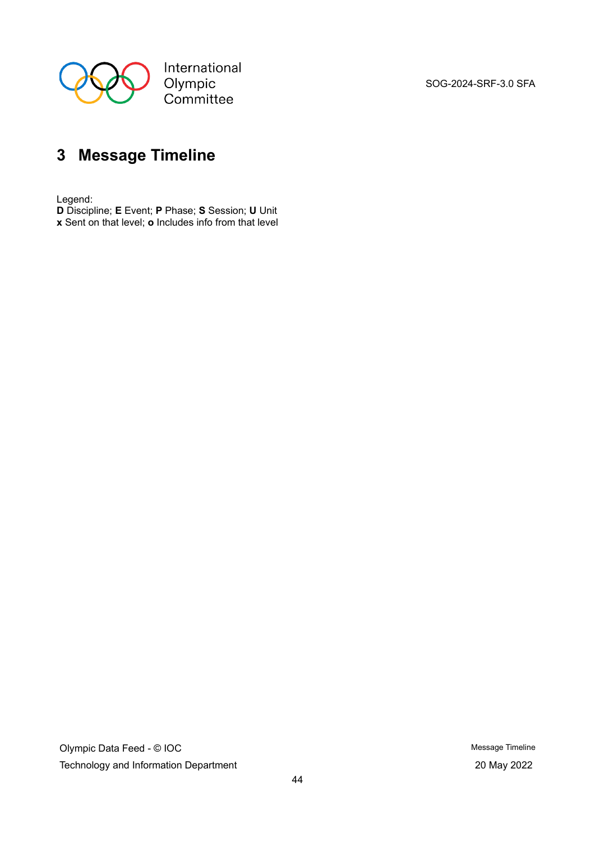

SOG-2024-SRF-3.0 SFA

# <span id="page-43-0"></span>**3 Message Timeline**

Legend:

**D** Discipline; **E** Event; **P** Phase; **S** Session; **U** Unit **x** Sent on that level; **o** Includes info from that level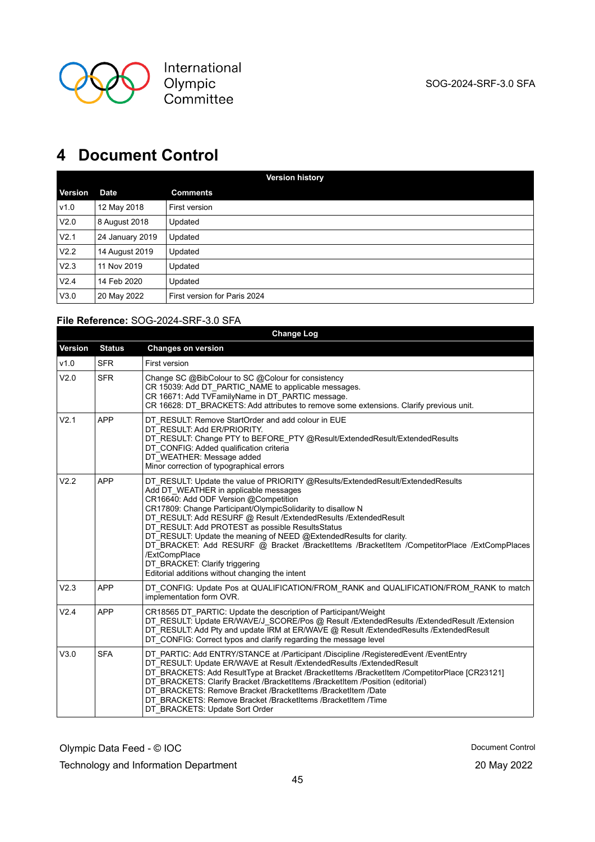

# <span id="page-44-0"></span>**4 Document Control**

| <b>Version history</b> |                 |                              |  |  |
|------------------------|-----------------|------------------------------|--|--|
| Version                | <b>Date</b>     | <b>Comments</b>              |  |  |
| v1.0                   | 12 May 2018     | First version                |  |  |
| V2.0                   | 8 August 2018   | Updated                      |  |  |
| V <sub>2.1</sub>       | 24 January 2019 | Updated                      |  |  |
| V2.2                   | 14 August 2019  | Updated                      |  |  |
| V <sub>2.3</sub>       | 11 Nov 2019     | Updated                      |  |  |
| V2.4                   | 14 Feb 2020     | Updated                      |  |  |
| V3.0                   | 20 May 2022     | First version for Paris 2024 |  |  |

#### **File Reference:** SOG-2024-SRF-3.0 SFA

|                  | <b>Change Log</b> |                                                                                                                                                                                                                                                                                                                                                                                                                                                                                                                                                                                                                                     |  |  |  |
|------------------|-------------------|-------------------------------------------------------------------------------------------------------------------------------------------------------------------------------------------------------------------------------------------------------------------------------------------------------------------------------------------------------------------------------------------------------------------------------------------------------------------------------------------------------------------------------------------------------------------------------------------------------------------------------------|--|--|--|
| Version          | <b>Status</b>     | <b>Changes on version</b>                                                                                                                                                                                                                                                                                                                                                                                                                                                                                                                                                                                                           |  |  |  |
| v1.0             | <b>SFR</b>        | First version                                                                                                                                                                                                                                                                                                                                                                                                                                                                                                                                                                                                                       |  |  |  |
| V2.0             | <b>SFR</b>        | Change SC @BibColour to SC @Colour for consistency<br>CR 15039: Add DT_PARTIC_NAME to applicable messages.<br>CR 16671: Add TVFamilyName in DT PARTIC message.<br>CR 16628: DT_BRACKETS: Add attributes to remove some extensions. Clarify previous unit.                                                                                                                                                                                                                                                                                                                                                                           |  |  |  |
| V2.1             | <b>APP</b>        | DT RESULT: Remove StartOrder and add colour in EUE<br>DT RESULT: Add ER/PRIORITY.<br>DT_RESULT: Change PTY to BEFORE_PTY @Result/ExtendedResult/ExtendedResults<br>DT CONFIG: Added qualification criteria<br>DT WEATHER: Message added<br>Minor correction of typographical errors                                                                                                                                                                                                                                                                                                                                                 |  |  |  |
| V <sub>2.2</sub> | <b>APP</b>        | DT RESULT: Update the value of PRIORITY @Results/ExtendedResult/ExtendedResults<br>Add DT WEATHER in applicable messages<br>CR16640: Add ODF Version @Competition<br>CR17809: Change Participant/OlympicSolidarity to disallow N<br>DT RESULT: Add RESURF @ Result /ExtendedResults /ExtendedResult<br>DT RESULT: Add PROTEST as possible ResultsStatus<br>DT_RESULT: Update the meaning of NEED @ExtendedResults for clarity.<br>DT_BRACKET: Add RESURF @ Bracket /BracketItems /BracketItem /CompetitorPlace /ExtCompPlaces<br>/ExtCompPlace<br>DT_BRACKET: Clarify triggering<br>Editorial additions without changing the intent |  |  |  |
| V2.3             | <b>APP</b>        | DT_CONFIG: Update Pos at QUALIFICATION/FROM_RANK and QUALIFICATION/FROM_RANK to match<br>implementation form OVR.                                                                                                                                                                                                                                                                                                                                                                                                                                                                                                                   |  |  |  |
| V2.4             | <b>APP</b>        | CR18565 DT PARTIC: Update the description of Participant/Weight<br>DT_RESULT: Update ER/WAVE/J_SCORE/Pos @ Result /ExtendedResults /ExtendedResult /Extension<br>DT RESULT: Add Pty and update IRM at ER/WAVE @ Result /ExtendedResults /ExtendedResult<br>DT CONFIG: Correct typos and clarify regarding the message level                                                                                                                                                                                                                                                                                                         |  |  |  |
| V3.0             | <b>SFA</b>        | DT PARTIC: Add ENTRY/STANCE at /Participant /Discipline /RegisteredEvent /EventEntry<br>DT RESULT: Update ER/WAVE at Result / Extended Results / Extended Result<br>DT_BRACKETS: Add ResultType at Bracket /BracketItems /BracketItem /CompetitorPlace [CR23121]<br>DT BRACKETS: Clarify Bracket /BracketItems /BracketItem /Position (editorial)<br>DT BRACKETS: Remove Bracket /BracketItems /BracketItem /Date<br>DT BRACKETS: Remove Bracket /BracketItems /BracketItem /Time<br>DT BRACKETS: Update Sort Order                                                                                                                 |  |  |  |